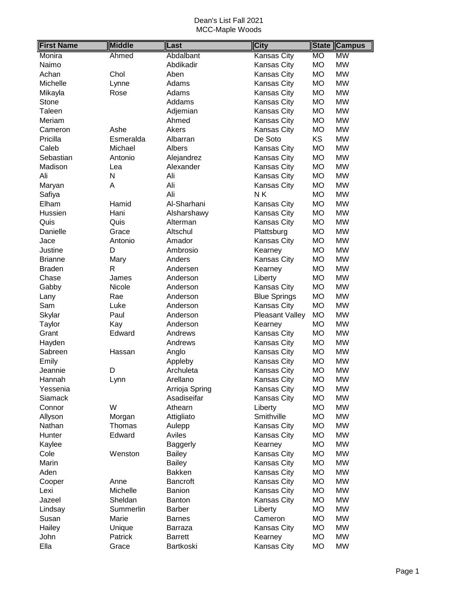| <b>First Name</b> | <b>Middle</b> | Last            | <b>City</b>            |           | <b>State Campus</b> |
|-------------------|---------------|-----------------|------------------------|-----------|---------------------|
| Monira            | Ahmed         | Abdalbant       | Kansas City            | <b>MO</b> | <b>MW</b>           |
| Naimo             |               | Abdikadir       | Kansas City            | <b>MO</b> | <b>MW</b>           |
| Achan             | Chol          | Aben            | Kansas City            | <b>MO</b> | <b>MW</b>           |
| Michelle          | Lynne         | Adams           | Kansas City            | <b>MO</b> | <b>MW</b>           |
| Mikayla           | Rose          | Adams           | Kansas City            | <b>MO</b> | <b>MW</b>           |
| Stone             |               | Addams          | Kansas City            | <b>MO</b> | <b>MW</b>           |
| Taleen            |               | Adjemian        | Kansas City            | <b>MO</b> | <b>MW</b>           |
| Meriam            |               | Ahmed           | Kansas City            | <b>MO</b> | <b>MW</b>           |
| Cameron           | Ashe          | Akers           | Kansas City            | <b>MO</b> | <b>MW</b>           |
| Pricilla          | Esmeralda     | Albarran        | De Soto                | <b>KS</b> | <b>MW</b>           |
| Caleb             | Michael       | Albers          | Kansas City            | <b>MO</b> | <b>MW</b>           |
| Sebastian         | Antonio       | Alejandrez      | Kansas City            | <b>MO</b> | <b>MW</b>           |
| Madison           | Lea           | Alexander       | Kansas City            | <b>MO</b> | <b>MW</b>           |
| Ali               | N             | Ali             | Kansas City            | <b>MO</b> | <b>MW</b>           |
| Maryan            | Α             | Ali             | Kansas City            | <b>MO</b> | <b>MW</b>           |
| Safiya            |               | Ali             | NK                     | <b>MO</b> | <b>MW</b>           |
| Elham             | Hamid         | Al-Sharhani     | Kansas City            | <b>MO</b> | <b>MW</b>           |
| Hussien           | Hani          | Alsharshawy     | Kansas City            | <b>MO</b> | <b>MW</b>           |
| Quis              | Quis          | Alterman        | Kansas City            | <b>MO</b> | <b>MW</b>           |
| Danielle          | Grace         | Altschul        | Plattsburg             | <b>MO</b> | <b>MW</b>           |
| Jace              | Antonio       | Amador          | Kansas City            | <b>MO</b> | <b>MW</b>           |
| Justine           | D             | Ambrosio        | Kearney                | <b>MO</b> | <b>MW</b>           |
| <b>Brianne</b>    | Mary          | Anders          | Kansas City            | <b>MO</b> | <b>MW</b>           |
| <b>Braden</b>     | R             | Andersen        | Kearney                | <b>MO</b> | <b>MW</b>           |
| Chase             | James         | Anderson        | Liberty                | <b>MO</b> | <b>MW</b>           |
| Gabby             | Nicole        | Anderson        | Kansas City            | <b>MO</b> | <b>MW</b>           |
| Lany              | Rae           | Anderson        | <b>Blue Springs</b>    | <b>MO</b> | <b>MW</b>           |
| Sam               | Luke          | Anderson        | Kansas City            | <b>MO</b> | <b>MW</b>           |
| Skylar            | Paul          | Anderson        | <b>Pleasant Valley</b> | <b>MO</b> | <b>MW</b>           |
| Taylor            | Kay           | Anderson        | Kearney                | <b>MO</b> | <b>MW</b>           |
| Grant             | Edward        | Andrews         | Kansas City            | <b>MO</b> | <b>MW</b>           |
| Hayden            |               | Andrews         | Kansas City            | <b>MO</b> | <b>MW</b>           |
| Sabreen           | Hassan        | Anglo           | Kansas City            | <b>MO</b> | <b>MW</b>           |
| Emily             |               | Appleby         | Kansas City            | <b>MO</b> | <b>MW</b>           |
| Jeannie           | D             | Archuleta       | <b>Kansas City</b>     | <b>MO</b> | <b>MW</b>           |
| Hannah            | Lynn          | Arellano        | Kansas City            | <b>MO</b> | <b>MW</b>           |
| Yessenia          |               | Arrioja Spring  | Kansas City            | <b>MO</b> | <b>MW</b>           |
| <b>Siamack</b>    |               | Asadiseifar     | Kansas City            | <b>MO</b> | <b>MW</b>           |
| Connor            | W             | Athearn         | Liberty                | <b>MO</b> | <b>MW</b>           |
| Allyson           | Morgan        | Attigliato      | Smithville             | <b>MO</b> | <b>MW</b>           |
| Nathan            | Thomas        | Aulepp          | Kansas City            | <b>MO</b> | <b>MW</b>           |
| Hunter            | Edward        | Aviles          | Kansas City            | <b>MO</b> | <b>MW</b>           |
| Kaylee            |               | <b>Baggerly</b> | Kearney                | <b>MO</b> | <b>MW</b>           |
| Cole              | Wenston       | <b>Bailey</b>   | Kansas City            | <b>MO</b> | <b>MW</b>           |
| Marin             |               | <b>Bailey</b>   | Kansas City            | MO        | <b>MW</b>           |
| Aden              |               | Bakken          | Kansas City            | <b>MO</b> | <b>MW</b>           |
| Cooper            | Anne          | <b>Bancroft</b> | Kansas City            | <b>MO</b> | <b>MW</b>           |
| Lexi              | Michelle      | <b>Banion</b>   | Kansas City            | <b>MO</b> | <b>MW</b>           |
| Jazeel            | Sheldan       | Banton          | Kansas City            | <b>MO</b> | <b>MW</b>           |
| Lindsay           | Summerlin     | <b>Barber</b>   | Liberty                | <b>MO</b> | <b>MW</b>           |
| Susan             | Marie         | <b>Barnes</b>   | Cameron                | <b>MO</b> | <b>MW</b>           |
| Hailey            | Unique        | Barraza         | Kansas City            | <b>MO</b> | <b>MW</b>           |
| John              | Patrick       | <b>Barrett</b>  | Kearney                | <b>MO</b> | <b>MW</b>           |
| Ella              | Grace         | Bartkoski       | Kansas City            | <b>MO</b> | <b>MW</b>           |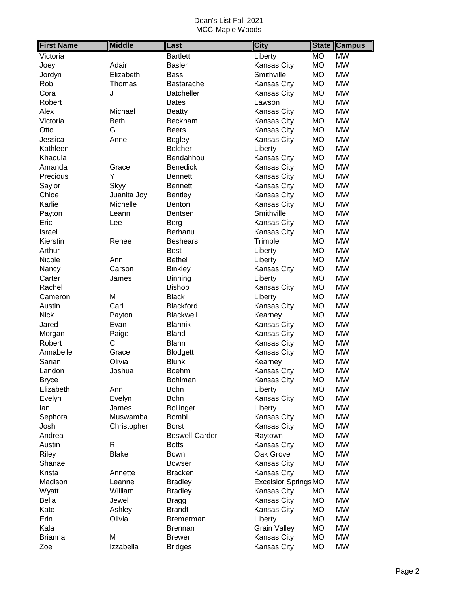| <b>First Name</b> | <b>Middle</b> | Last                  | <b>City</b>                 | <b>State</b> | <b>Campus</b> |
|-------------------|---------------|-----------------------|-----------------------------|--------------|---------------|
| Victoria          |               | <b>Bartlett</b>       | Liberty                     | <b>MO</b>    | <b>MW</b>     |
| Joey              | Adair         | <b>Basler</b>         | Kansas City                 | <b>MO</b>    | <b>MW</b>     |
| Jordyn            | Elizabeth     | Bass                  | Smithville                  | <b>MO</b>    | <b>MW</b>     |
| Rob               | Thomas        | Bastarache            | Kansas City                 | <b>MO</b>    | <b>MW</b>     |
| Cora              | J             | <b>Batcheller</b>     | Kansas City                 | <b>MO</b>    | <b>MW</b>     |
| Robert            |               | <b>Bates</b>          | Lawson                      | <b>MO</b>    | <b>MW</b>     |
| Alex              | Michael       | <b>Beatty</b>         | Kansas City                 | <b>MO</b>    | <b>MW</b>     |
| Victoria          | <b>Beth</b>   | Beckham               | Kansas City                 | <b>MO</b>    | <b>MW</b>     |
| Otto              | G             | <b>Beers</b>          | Kansas City                 | <b>MO</b>    | <b>MW</b>     |
| Jessica           | Anne          | Begley                | Kansas City                 | <b>MO</b>    | <b>MW</b>     |
| Kathleen          |               | <b>Belcher</b>        | Liberty                     | <b>MO</b>    | <b>MW</b>     |
| Khaoula           |               | Bendahhou             | Kansas City                 | MO           | <b>MW</b>     |
| Amanda            | Grace         | <b>Benedick</b>       | Kansas City                 | <b>MO</b>    | <b>MW</b>     |
| Precious          | Y             | <b>Bennett</b>        | Kansas City                 | <b>MO</b>    | <b>MW</b>     |
| Saylor            | Skyy          | <b>Bennett</b>        | Kansas City                 | <b>MO</b>    | <b>MW</b>     |
| Chloe             | Juanita Joy   | Bentley               | Kansas City                 | <b>MO</b>    | <b>MW</b>     |
| Karlie            | Michelle      | Benton                | Kansas City                 | MO           | <b>MW</b>     |
| Payton            | Leann         | Bentsen               | Smithville                  | <b>MO</b>    | <b>MW</b>     |
| Eric              | Lee           | Berg                  | Kansas City                 | <b>MO</b>    | <b>MW</b>     |
| Israel            |               | Berhanu               | Kansas City                 | МO           | <b>MW</b>     |
| Kierstin          | Renee         | <b>Beshears</b>       | Trimble                     | <b>MO</b>    | <b>MW</b>     |
| Arthur            |               | <b>Best</b>           | Liberty                     | <b>MO</b>    | <b>MW</b>     |
| Nicole            | Ann           | <b>Bethel</b>         | Liberty                     | <b>MO</b>    | <b>MW</b>     |
| Nancy             | Carson        | <b>Binkley</b>        | <b>Kansas City</b>          | <b>MO</b>    | <b>MW</b>     |
| Carter            | James         | Binning               | Liberty                     | <b>MO</b>    | <b>MW</b>     |
| Rachel            |               | <b>Bishop</b>         | <b>Kansas City</b>          | <b>MO</b>    | <b>MW</b>     |
| Cameron           | M             | <b>Black</b>          | Liberty                     | <b>MO</b>    | <b>MW</b>     |
| Austin            | Carl          | <b>Blackford</b>      | <b>Kansas City</b>          | <b>MO</b>    | <b>MW</b>     |
| <b>Nick</b>       | Payton        | Blackwell             | Kearney                     | <b>MO</b>    | <b>MW</b>     |
| Jared             | Evan          | <b>Blahnik</b>        | Kansas City                 | <b>MO</b>    | <b>MW</b>     |
| Morgan            | Paige         | <b>Bland</b>          | Kansas City                 | <b>MO</b>    | <b>MW</b>     |
| Robert            | C             | <b>Blann</b>          | Kansas City                 | <b>MO</b>    | <b>MW</b>     |
| Annabelle         | Grace         | Blodgett              | Kansas City                 | MO           | <b>MW</b>     |
| Sarian            | Olivia        | <b>Blunk</b>          | Kearney                     | <b>MO</b>    | <b>MW</b>     |
| Landon            | Joshua        | Boehm                 | <b>Kansas City</b>          | <b>MO</b>    | <b>MW</b>     |
| <b>Bryce</b>      |               | Bohlman               | <b>Kansas City</b>          | МO           | MW            |
| Elizabeth         | Ann           | Bohn                  | Liberty                     | <b>MO</b>    | <b>MW</b>     |
| Evelyn            | Evelyn        | Bohn                  | Kansas City                 | МO           | <b>MW</b>     |
| lan               | James         | <b>Bollinger</b>      | Liberty                     | MO           | <b>MW</b>     |
| Sephora           | Muswamba      | Bombi                 | Kansas City                 | MO           | <b>MW</b>     |
| Josh              | Christopher   | <b>Borst</b>          | Kansas City                 | МO           | <b>MW</b>     |
| Andrea            |               | <b>Boswell-Carder</b> | Raytown                     | MO           | <b>MW</b>     |
| Austin            | $\mathsf{R}$  | <b>Botts</b>          | Kansas City                 | <b>MO</b>    | <b>MW</b>     |
| Riley             | <b>Blake</b>  | Bown                  | Oak Grove                   | MO           | <b>MW</b>     |
| Shanae            |               | <b>Bowser</b>         | Kansas City                 | MO           | <b>MW</b>     |
| Krista            | Annette       | <b>Bracken</b>        | Kansas City                 | MO           | <b>MW</b>     |
| Madison           | Leanne        | <b>Bradley</b>        | <b>Excelsior Springs MO</b> |              | <b>MW</b>     |
| Wyatt             | William       | <b>Bradley</b>        | Kansas City                 | MO           | <b>MW</b>     |
| <b>Bella</b>      | Jewel         | <b>Bragg</b>          | Kansas City                 | МO           | <b>MW</b>     |
| Kate              | Ashley        | <b>Brandt</b>         | Kansas City                 | МO           | <b>MW</b>     |
| Erin              | Olivia        | Bremerman             | Liberty                     | MO           | <b>MW</b>     |
| Kala              |               | <b>Brennan</b>        | <b>Grain Valley</b>         | <b>MO</b>    | <b>MW</b>     |
| <b>Brianna</b>    | M             | <b>Brewer</b>         | Kansas City                 | МO           | <b>MW</b>     |
| Zoe               | Izzabella     | <b>Bridges</b>        | Kansas City                 | МO           | <b>MW</b>     |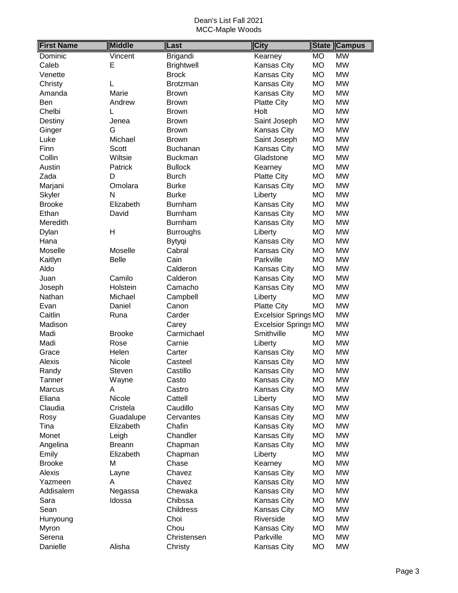| <b>First Name</b> | <b>Middle</b> | Last              | <b>City</b>                 | <b>State</b> | <b>Campus</b> |
|-------------------|---------------|-------------------|-----------------------------|--------------|---------------|
| Dominic           | Vincent       | Brigandi          | Kearney                     | <b>MO</b>    | <b>MW</b>     |
| Caleb             | Ε             | <b>Brightwell</b> | Kansas City                 | <b>MO</b>    | <b>MW</b>     |
| Venette           |               | <b>Brock</b>      | Kansas City                 | <b>MO</b>    | <b>MW</b>     |
| Christy           | L             | <b>Brotzman</b>   | Kansas City                 | <b>MO</b>    | <b>MW</b>     |
| Amanda            | Marie         | <b>Brown</b>      | <b>Kansas City</b>          | <b>MO</b>    | <b>MW</b>     |
| Ben               | Andrew        | <b>Brown</b>      | <b>Platte City</b>          | <b>MO</b>    | <b>MW</b>     |
| Chelbi            | L             | <b>Brown</b>      | Holt                        | <b>MO</b>    | <b>MW</b>     |
| Destiny           | Jenea         | <b>Brown</b>      | Saint Joseph                | <b>MO</b>    | <b>MW</b>     |
| Ginger            | G             | <b>Brown</b>      | Kansas City                 | <b>MO</b>    | <b>MW</b>     |
| Luke              | Michael       | <b>Brown</b>      | Saint Joseph                | <b>MO</b>    | <b>MW</b>     |
| Finn              | <b>Scott</b>  | Buchanan          | Kansas City                 | <b>MO</b>    | <b>MW</b>     |
| Collin            | Wiltsie       | <b>Buckman</b>    | Gladstone                   | <b>MO</b>    | <b>MW</b>     |
| Austin            | Patrick       | <b>Bullock</b>    | Kearney                     | <b>MO</b>    | <b>MW</b>     |
| Zada              | D             | <b>Burch</b>      | <b>Platte City</b>          | <b>MO</b>    | <b>MW</b>     |
| Marjani           | Omolara       | <b>Burke</b>      | <b>Kansas City</b>          | <b>MO</b>    | <b>MW</b>     |
| Skyler            | N             | <b>Burke</b>      | Liberty                     | <b>MO</b>    | <b>MW</b>     |
| <b>Brooke</b>     | Elizabeth     | <b>Burnham</b>    | Kansas City                 | <b>MO</b>    | <b>MW</b>     |
| Ethan             | David         | Burnham           | Kansas City                 | <b>MO</b>    | <b>MW</b>     |
| Meredith          |               | Burnham           | Kansas City                 | <b>MO</b>    | <b>MW</b>     |
| Dylan             | H             | <b>Burroughs</b>  | Liberty                     | <b>MO</b>    | <b>MW</b>     |
| Hana              |               | Bytyqi            | Kansas City                 | <b>MO</b>    | <b>MW</b>     |
| Moselle           | Moselle       | Cabral            | <b>Kansas City</b>          | <b>MO</b>    | <b>MW</b>     |
| Kaitlyn           | <b>Belle</b>  | Cain              | Parkville                   | <b>MO</b>    | <b>MW</b>     |
| Aldo              |               | Calderon          | Kansas City                 | <b>MO</b>    | <b>MW</b>     |
| Juan              | Camilo        | Calderon          | Kansas City                 | <b>MO</b>    | <b>MW</b>     |
| Joseph            | Holstein      | Camacho           | <b>Kansas City</b>          | <b>MO</b>    | <b>MW</b>     |
| Nathan            | Michael       | Campbell          | Liberty                     | <b>MO</b>    | <b>MW</b>     |
| Evan              | Daniel        | Canon             | <b>Platte City</b>          | <b>MO</b>    | <b>MW</b>     |
| Caitlin           | Runa          | Carder            | <b>Excelsior Springs MO</b> |              | <b>MW</b>     |
| Madison           |               | Carey             | <b>Excelsior Springs MO</b> |              | <b>MW</b>     |
| Madi              | <b>Brooke</b> | Carmichael        | Smithville                  | <b>MO</b>    | <b>MW</b>     |
| Madi              | Rose          | Carnie            | Liberty                     | <b>MO</b>    | <b>MW</b>     |
| Grace             | Helen         | Carter            | Kansas City                 | <b>MO</b>    | <b>MW</b>     |
| Alexis            | Nicole        | Casteel           | Kansas City                 | <b>MO</b>    | <b>MW</b>     |
| Randy             | Steven        | Castillo          | Kansas City                 | <b>MO</b>    | <b>MW</b>     |
| Tanner            | Wayne         | Casto             | Kansas City                 | <b>MO</b>    | <b>MW</b>     |
| Marcus            | Α             | Castro            | Kansas City                 | <b>MO</b>    | <b>MW</b>     |
| Eliana            | Nicole        | Cattell           | Liberty                     | <b>MO</b>    | <b>MW</b>     |
| Claudia           | Cristela      | Caudillo          | Kansas City                 | <b>MO</b>    | <b>MW</b>     |
| Rosy              | Guadalupe     | Cervantes         | Kansas City                 | <b>MO</b>    | <b>MW</b>     |
| Tina              | Elizabeth     | Chafin            | Kansas City                 | <b>MO</b>    | <b>MW</b>     |
| Monet             | Leigh         | Chandler          | Kansas City                 | <b>MO</b>    | <b>MW</b>     |
| Angelina          | <b>Breann</b> | Chapman           | Kansas City                 | <b>MO</b>    | <b>MW</b>     |
| Emily             | Elizabeth     | Chapman           | Liberty                     | <b>MO</b>    | <b>MW</b>     |
| <b>Brooke</b>     | M             | Chase             | Kearney                     | <b>MO</b>    | <b>MW</b>     |
| Alexis            | Layne         | Chavez            | Kansas City                 | <b>MO</b>    | <b>MW</b>     |
| Yazmeen           | A             | Chavez            | Kansas City                 | <b>MO</b>    | <b>MW</b>     |
| Addisalem         | Negassa       | Chewaka           | Kansas City                 | <b>MO</b>    | <b>MW</b>     |
| Sara              | Idossa        | Chibssa           | Kansas City                 | <b>MO</b>    | <b>MW</b>     |
| Sean              |               | Childress         | Kansas City                 | <b>MO</b>    | <b>MW</b>     |
| Hunyoung          |               | Choi              | Riverside                   | <b>MO</b>    | <b>MW</b>     |
| Myron             |               | Chou              | Kansas City                 | <b>MO</b>    | <b>MW</b>     |
| Serena            |               | Christensen       | Parkville                   | <b>MO</b>    | <b>MW</b>     |
| Danielle          | Alisha        | Christy           | Kansas City                 | <b>MO</b>    | <b>MW</b>     |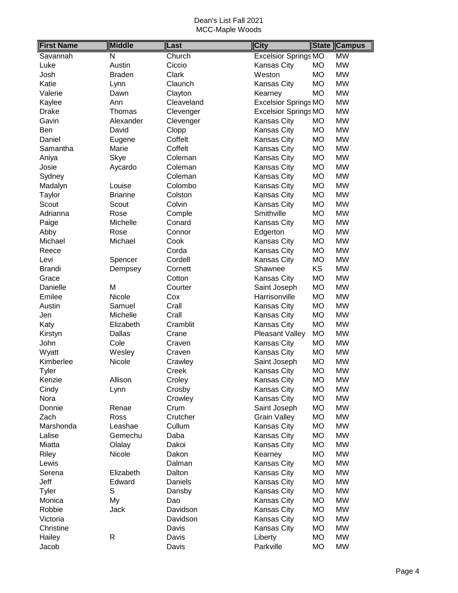| <b>First Name</b> | <b>Middle</b>    | Last            | <b>City</b>                 | <b>State</b>           | <b>Campus</b> |
|-------------------|------------------|-----------------|-----------------------------|------------------------|---------------|
| Savannah          | N                | Church          | <b>Excelsior Springs MO</b> |                        | <b>MW</b>     |
| Luke              | Austin           | Ciccio          | Kansas City                 | <b>MO</b>              | <b>MW</b>     |
| Josh              | <b>Braden</b>    | Clark           | Weston                      | <b>MO</b>              | <b>MW</b>     |
| Katie             | Lynn             | Claunch         | <b>Kansas City</b>          | <b>MO</b>              | <b>MW</b>     |
| Valerie           | Dawn             | Clayton         | Kearney                     | <b>MO</b>              | <b>MW</b>     |
| Kaylee            | Ann              | Cleaveland      | <b>Excelsior Springs MO</b> |                        | <b>MW</b>     |
| <b>Drake</b>      | Thomas           | Clevenger       | <b>Excelsior Springs MO</b> |                        | <b>MW</b>     |
| Gavin             | Alexander        | Clevenger       | Kansas City                 | <b>MO</b>              | <b>MW</b>     |
| Ben               | David            | Clopp           | Kansas City                 | <b>MO</b>              | <b>MW</b>     |
| Daniel            | Eugene           | Coffelt         | Kansas City                 | <b>MO</b>              | <b>MW</b>     |
| Samantha          | Marie            | Coffelt         | Kansas City                 | <b>MO</b>              | <b>MW</b>     |
| Aniya             | Skye             | Coleman         | Kansas City                 | <b>MO</b>              | <b>MW</b>     |
| Josie             | Aycardo          | Coleman         | Kansas City                 | <b>MO</b>              | <b>MW</b>     |
| Sydney            |                  | Coleman         | Kansas City                 | <b>MO</b>              | <b>MW</b>     |
| Madalyn           | Louise           | Colombo         | Kansas City                 | <b>MO</b>              | <b>MW</b>     |
| Taylor            | <b>Brianne</b>   | Colston         | Kansas City                 | <b>MO</b>              | <b>MW</b>     |
| Scout             | Scout            | Colvin          | <b>Kansas City</b>          | <b>MO</b>              | <b>MW</b>     |
| Adrianna          | Rose             | Comple          | Smithville                  | <b>MO</b>              | <b>MW</b>     |
| Paige             | Michelle         | Conard          | Kansas City                 | <b>MO</b>              | <b>MW</b>     |
| Abby              | Rose             | Connor          | Edgerton                    | <b>MO</b>              | <b>MW</b>     |
| Michael           | Michael          | Cook            | Kansas City                 | <b>MO</b>              | <b>MW</b>     |
| Reece             |                  | Corda           | Kansas City                 | <b>MO</b>              | <b>MW</b>     |
| Levi              | Spencer          | Cordell         | <b>Kansas City</b>          | <b>MO</b>              | <b>MW</b>     |
| Brandi            | Dempsey          | Cornett         | Shawnee                     | KS                     | <b>MW</b>     |
| Grace             |                  | Cotton          | Kansas City                 | <b>MO</b>              | <b>MW</b>     |
| Danielle          | M                | Courter         | Saint Joseph                | <b>MO</b>              | <b>MW</b>     |
| Emilee            | Nicole           | Cox             | Harrisonville               | <b>MO</b>              | <b>MW</b>     |
| Austin            | Samuel           | Crall           | Kansas City                 | <b>MO</b>              | <b>MW</b>     |
| Jen               | Michelle         | Crall           | Kansas City                 | <b>MO</b>              | <b>MW</b>     |
| Katy              | Elizabeth        | Cramblit        | Kansas City                 | <b>MO</b>              | <b>MW</b>     |
| Kirstyn           | Dallas           | Crane           | Pleasant Valley             | <b>MO</b>              | <b>MW</b>     |
| John              | Cole             | Craven          | Kansas City                 | <b>MO</b>              | <b>MW</b>     |
| Wyatt             | Wesley           | Craven          | Kansas City                 | <b>MO</b>              | <b>MW</b>     |
| Kimberlee         | Nicole           | Crawley         | Saint Joseph                | <b>MO</b>              | <b>MW</b>     |
| <b>Tyler</b>      |                  | Creek           | Kansas City                 | <b>MO</b>              | <b>MW</b>     |
| Kenzie            | Allison          | Croley          | <b>Kansas City</b>          | <b>MO</b>              | <b>MW</b>     |
| Cindy             | Lynn             | Crosby          | Kansas City                 | <b>MO</b>              | <b>MW</b>     |
| Nora              |                  | Crowley         | Kansas City                 | <b>MO</b>              | <b>MW</b>     |
| Donnie            | Renae            | Crum            | Saint Joseph                | <b>MO</b>              | <b>MW</b>     |
| Zach              | Ross             | Crutcher        | <b>Grain Valley</b>         | <b>MO</b>              | <b>MW</b>     |
| Marshonda         | Leashae          | Cullum          | Kansas City                 | <b>MO</b>              | <b>MW</b>     |
| Lalise            | Gemechu          | Daba            |                             | <b>MO</b>              | <b>MW</b>     |
| Miatta            |                  | Dakoi           | Kansas City                 |                        | <b>MW</b>     |
|                   | Olalay<br>Nicole |                 | Kansas City                 | MO                     | <b>MW</b>     |
| Riley<br>Lewis    |                  | Dakon<br>Dalman | Kearney                     | <b>MO</b><br><b>MO</b> | <b>MW</b>     |
|                   | Elizabeth        | Dalton          | Kansas City<br>Kansas City  | <b>MO</b>              | <b>MW</b>     |
| Serena            |                  |                 |                             |                        | <b>MW</b>     |
| Jeff              | Edward           | Daniels         | Kansas City                 | <b>MO</b>              |               |
| Tyler             | S                | Dansby          | Kansas City                 | <b>MO</b>              | <b>MW</b>     |
| Monica            | My               | Dao             | Kansas City                 | <b>MO</b>              | <b>MW</b>     |
| Robbie            | Jack             | Davidson        | Kansas City                 | <b>MO</b>              | <b>MW</b>     |
| Victoria          |                  | Davidson        | Kansas City                 | <b>MO</b>              | <b>MW</b>     |
| Christine         |                  | Davis           | Kansas City                 | <b>MO</b>              | <b>MW</b>     |
| Hailey            | R                | Davis           | Liberty                     | <b>MO</b>              | <b>MW</b>     |
| Jacob             |                  | Davis           | Parkville                   | <b>MO</b>              | <b>MW</b>     |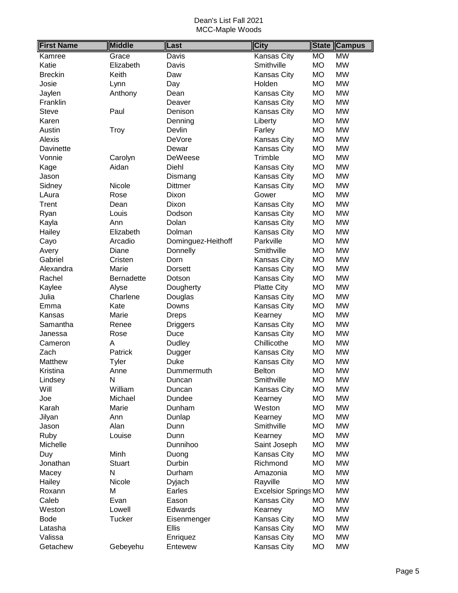| <b>First Name</b> | <b>Middle</b>     | Last               | <b>City</b>                 |           | <b>State Campus</b> |
|-------------------|-------------------|--------------------|-----------------------------|-----------|---------------------|
| Kamree            | Grace             | Davis              | <b>Kansas City</b>          | <b>MO</b> | <b>MW</b>           |
| Katie             | Elizabeth         | Davis              | Smithville                  | <b>MO</b> | <b>MW</b>           |
| <b>Breckin</b>    | Keith             | Daw                | <b>Kansas City</b>          | MO        | <b>MW</b>           |
| Josie             | Lynn              | Day                | Holden                      | <b>MO</b> | <b>MW</b>           |
| Jaylen            | Anthony           | Dean               | <b>Kansas City</b>          | MO        | <b>MW</b>           |
| Franklin          |                   | Deaver             | Kansas City                 | <b>MO</b> | <b>MW</b>           |
| <b>Steve</b>      | Paul              | Denison            | <b>Kansas City</b>          | MO        | <b>MW</b>           |
| Karen             |                   | Denning            | Liberty                     | <b>MO</b> | <b>MW</b>           |
| Austin            | <b>Troy</b>       | Devlin             | Farley                      | <b>MO</b> | <b>MW</b>           |
| Alexis            |                   | <b>DeVore</b>      | <b>Kansas City</b>          | <b>MO</b> | <b>MW</b>           |
| Davinette         |                   | Dewar              | <b>Kansas City</b>          | <b>MO</b> | <b>MW</b>           |
| Vonnie            | Carolyn           | DeWeese            | Trimble                     | <b>MO</b> | <b>MW</b>           |
| Kage              | Aidan             | Diehl              | <b>Kansas City</b>          | <b>MO</b> | <b>MW</b>           |
| Jason             |                   | Dismang            | Kansas City                 | <b>MO</b> | <b>MW</b>           |
| Sidney            | Nicole            | <b>Dittmer</b>     | <b>Kansas City</b>          | <b>MO</b> | <b>MW</b>           |
| LAura             | Rose              | Dixon              | Gower                       | MO        | <b>MW</b>           |
| Trent             | Dean              | Dixon              | <b>Kansas City</b>          | <b>MO</b> | <b>MW</b>           |
| Ryan              | Louis             | Dodson             | <b>Kansas City</b>          | <b>MO</b> | <b>MW</b>           |
| Kayla             | Ann               | Dolan              | <b>Kansas City</b>          | <b>MO</b> | <b>MW</b>           |
| Hailey            | Elizabeth         | Dolman             | <b>Kansas City</b>          | MO        | <b>MW</b>           |
| Cayo              | Arcadio           | Dominguez-Heithoff | Parkville                   | <b>MO</b> | <b>MW</b>           |
| Avery             | Diane             | Donnelly           | Smithville                  | <b>MO</b> | <b>MW</b>           |
| Gabriel           | Cristen           | Dorn               | Kansas City                 | MO        | <b>MW</b>           |
| Alexandra         | Marie             | <b>Dorsett</b>     | Kansas City                 | MO        | <b>MW</b>           |
| Rachel            | <b>Bernadette</b> | Dotson             | <b>Kansas City</b>          | <b>MO</b> | <b>MW</b>           |
| Kaylee            | Alyse             | Dougherty          | <b>Platte City</b>          | <b>MO</b> | <b>MW</b>           |
| Julia             | Charlene          | Douglas            | Kansas City                 | <b>MO</b> | <b>MW</b>           |
| Emma              | Kate              | Downs              | Kansas City                 | <b>MO</b> | <b>MW</b>           |
| Kansas            | Marie             | <b>Dreps</b>       | Kearney                     | <b>MO</b> | <b>MW</b>           |
| Samantha          | Renee             | <b>Driggers</b>    | Kansas City                 | <b>MO</b> | <b>MW</b>           |
| Janessa           | Rose              | Duce               | <b>Kansas City</b>          | <b>MO</b> | <b>MW</b>           |
| Cameron           | A                 | Dudley             | Chillicothe                 | MO        | <b>MW</b>           |
| Zach              | Patrick           | Dugger             | <b>Kansas City</b>          | <b>MO</b> | <b>MW</b>           |
| Matthew           | Tyler             | <b>Duke</b>        | <b>Kansas City</b>          | <b>MO</b> | <b>MW</b>           |
| Kristina          | Anne              | Dummermuth         | <b>Belton</b>               | <b>MO</b> | <b>MW</b>           |
| Lindsey           | N                 | Duncan             | Smithville                  | <b>MO</b> | <b>MW</b>           |
| Will              | William           | Duncan             | Kansas City                 | <b>MO</b> | <b>MW</b>           |
| Joe               | Michael           | Dundee             | Kearney                     | MO        | <b>MW</b>           |
| Karah             | Marie             | Dunham             | Weston                      | MO        | <b>MW</b>           |
| Jilyan            | Ann               | Dunlap             | Kearney                     | MO        | <b>MW</b>           |
| Jason             | Alan              | Dunn               | Smithville                  | <b>MO</b> | <b>MW</b>           |
| Ruby              | Louise            | Dunn               | Kearney                     | <b>MO</b> | <b>MW</b>           |
| Michelle          |                   | Dunnihoo           | Saint Joseph                | MO        | <b>MW</b>           |
| Duy               | Minh              | Duong              | Kansas City                 | MO        | <b>MW</b>           |
| Jonathan          | <b>Stuart</b>     | Durbin             | Richmond                    | MO        | <b>MW</b>           |
| Macey             | N                 | Durham             | Amazonia                    | MO        | <b>MW</b>           |
| Hailey            | Nicole            | Dyjach             | Rayville                    | <b>MO</b> | <b>MW</b>           |
| Roxann            | M                 | Earles             | <b>Excelsior Springs MO</b> |           | <b>MW</b>           |
| Caleb             | Evan              | Eason              | <b>Kansas City</b>          | MO        | <b>MW</b>           |
| Weston            | Lowell            | Edwards            | Kearney                     | MO        | <b>MW</b>           |
| <b>Bode</b>       | Tucker            | Eisenmenger        | <b>Kansas City</b>          | MO        | <b>MW</b>           |
| Latasha           |                   | Ellis              | Kansas City                 | MO        | <b>MW</b>           |
| Valissa           |                   | Enriquez           | Kansas City                 | MO        | <b>MW</b>           |
| Getachew          | Gebeyehu          | Entewew            | Kansas City                 | МO        | <b>MW</b>           |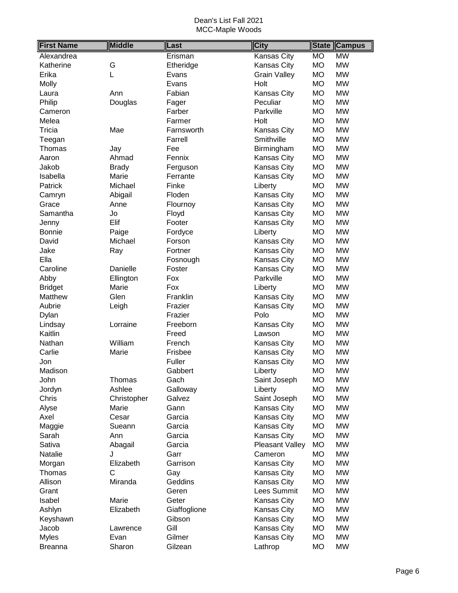| <b>First Name</b> | <b>Middle</b> | Last         | <b>City</b>         | <b>State</b>    | <b>Campus</b> |
|-------------------|---------------|--------------|---------------------|-----------------|---------------|
| Alexandrea        |               | Erisman      | Kansas City         | $\overline{MO}$ | WW            |
| Katherine         | G             | Etheridge    | Kansas City         | <b>MO</b>       | <b>MW</b>     |
| Erika             | L             | Evans        | <b>Grain Valley</b> | <b>MO</b>       | <b>MW</b>     |
| Molly             |               | Evans        | Holt                | <b>MO</b>       | <b>MW</b>     |
| Laura             | Ann           | Fabian       | Kansas City         | <b>MO</b>       | <b>MW</b>     |
| Philip            | Douglas       | Fager        | Peculiar            | <b>MO</b>       | <b>MW</b>     |
| Cameron           |               | Farber       | Parkville           | <b>MO</b>       | <b>MW</b>     |
| Melea             |               | Farmer       | Holt                | <b>MO</b>       | <b>MW</b>     |
| Tricia            | Mae           | Farnsworth   | Kansas City         | <b>MO</b>       | <b>MW</b>     |
| Teegan            |               | Farrell      | Smithville          | <b>MO</b>       | <b>MW</b>     |
| Thomas            | Jay           | Fee          | Birmingham          | <b>MO</b>       | <b>MW</b>     |
| Aaron             | Ahmad         | Fennix       | Kansas City         | <b>MO</b>       | <b>MW</b>     |
| Jakob             | <b>Brady</b>  | Ferguson     | Kansas City         | <b>MO</b>       | <b>MW</b>     |
| Isabella          | Marie         | Ferrante     | Kansas City         | <b>MO</b>       | <b>MW</b>     |
| Patrick           | Michael       | Finke        | Liberty             | <b>MO</b>       | <b>MW</b>     |
| Camryn            | Abigail       | Floden       | Kansas City         | <b>MO</b>       | <b>MW</b>     |
| Grace             | Anne          | Flournoy     | Kansas City         | <b>MO</b>       | <b>MW</b>     |
| Samantha          | Jo            | Floyd        | Kansas City         | <b>MO</b>       | <b>MW</b>     |
| Jenny             | Elif          | Footer       | Kansas City         | <b>MO</b>       | <b>MW</b>     |
| <b>Bonnie</b>     | Paige         | Fordyce      | Liberty             | <b>MO</b>       | <b>MW</b>     |
| David             | Michael       | Forson       | Kansas City         | <b>MO</b>       | <b>MW</b>     |
| Jake              | Ray           | Fortner      | Kansas City         | <b>MO</b>       | <b>MW</b>     |
| Ella              |               | Fosnough     | Kansas City         | <b>MO</b>       | <b>MW</b>     |
| Caroline          | Danielle      | Foster       | Kansas City         | <b>MO</b>       | <b>MW</b>     |
| Abby              | Ellington     | Fox          | Parkville           | <b>MO</b>       | <b>MW</b>     |
| <b>Bridget</b>    | Marie         | Fox          | Liberty             | <b>MO</b>       | <b>MW</b>     |
| Matthew           | Glen          | Franklin     | Kansas City         | <b>MO</b>       | <b>MW</b>     |
| Aubrie            | Leigh         | Frazier      | Kansas City         | <b>MO</b>       | <b>MW</b>     |
| Dylan             |               | Frazier      | Polo                | <b>MO</b>       | <b>MW</b>     |
| Lindsay           | Lorraine      | Freeborn     | Kansas City         | <b>MO</b>       | <b>MW</b>     |
| Kaitlin           |               | Freed        | Lawson              | <b>MO</b>       | <b>MW</b>     |
| Nathan            | William       | French       | Kansas City         | <b>MO</b>       | <b>MW</b>     |
| Carlie            | Marie         | Frisbee      | Kansas City         | <b>MO</b>       | <b>MW</b>     |
| Jon               |               | Fuller       | <b>Kansas City</b>  | <b>MO</b>       | <b>MW</b>     |
| Madison           |               | Gabbert      | Liberty             | <b>MO</b>       | <b>MW</b>     |
| John              | Thomas        | Gach         | Saint Joseph        | MO              | <b>MW</b>     |
| Jordyn            | Ashlee        | Galloway     | Liberty             | <b>MO</b>       | <b>MW</b>     |
| Chris             | Christopher   | Galvez       | Saint Joseph        | <b>MO</b>       | <b>MW</b>     |
| Alyse             | Marie         | Gann         | Kansas City         | <b>MO</b>       | <b>MW</b>     |
| Axel              | Cesar         | Garcia       | Kansas City         | <b>MO</b>       | <b>MW</b>     |
| Maggie            | Sueann        | Garcia       | Kansas City         | <b>MO</b>       | <b>MW</b>     |
| Sarah             | Ann           | Garcia       | Kansas City         | <b>MO</b>       | <b>MW</b>     |
| Sativa            | Abagail       | Garcia       | Pleasant Valley     | <b>MO</b>       | <b>MW</b>     |
| Natalie           | J             | Garr         | Cameron             | <b>MO</b>       | MW            |
| Morgan            | Elizabeth     | Garrison     | Kansas City         | <b>MO</b>       | MW            |
| Thomas            | C             | Gay          | Kansas City         | <b>MO</b>       | <b>MW</b>     |
| Allison           | Miranda       | Geddins      | Kansas City         | <b>MO</b>       | <b>MW</b>     |
| Grant             |               | Geren        | Lees Summit         | <b>MO</b>       | <b>MW</b>     |
| Isabel            | Marie         | Geter        | Kansas City         | <b>MO</b>       | <b>MW</b>     |
| Ashlyn            | Elizabeth     | Giaffoglione | Kansas City         | <b>MO</b>       | <b>MW</b>     |
| Keyshawn          |               | Gibson       | Kansas City         | <b>MO</b>       | <b>MW</b>     |
| Jacob             | Lawrence      | Gill         | Kansas City         | <b>MO</b>       | <b>MW</b>     |
| <b>Myles</b>      | Evan          | Gilmer       | Kansas City         | <b>MO</b>       | <b>MW</b>     |
| <b>Breanna</b>    | Sharon        | Gilzean      | Lathrop             | <b>MO</b>       | <b>MW</b>     |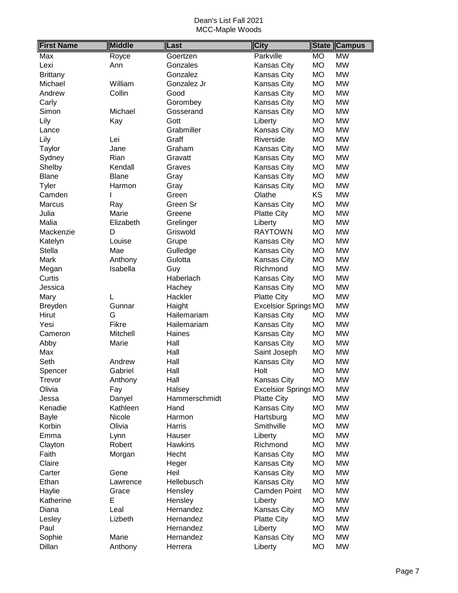| <b>First Name</b> | <b>Middle</b> | Last           | <b>City</b>                 |           | <b>State Campus</b> |
|-------------------|---------------|----------------|-----------------------------|-----------|---------------------|
| Max               | Royce         | Goertzen       | Parkville                   | <b>MO</b> | <b>MW</b>           |
| Lexi              | Ann           | Gonzales       | <b>Kansas City</b>          | <b>MO</b> | <b>MW</b>           |
| <b>Brittany</b>   |               | Gonzalez       | Kansas City                 | <b>MO</b> | <b>MW</b>           |
| Michael           | William       | Gonzalez Jr    | <b>Kansas City</b>          | <b>MO</b> | <b>MW</b>           |
| Andrew            | Collin        | Good           | <b>Kansas City</b>          | MO        | <b>MW</b>           |
| Carly             |               | Gorombey       | Kansas City                 | <b>MO</b> | <b>MW</b>           |
| Simon             | Michael       | Gosserand      | <b>Kansas City</b>          | <b>MO</b> | <b>MW</b>           |
| Lily              | Kay           | Gott           | Liberty                     | <b>MO</b> | <b>MW</b>           |
| Lance             |               | Grabmiller     | Kansas City                 | <b>MO</b> | <b>MW</b>           |
| Lily              | Lei           | Graff          | Riverside                   | <b>MO</b> | <b>MW</b>           |
| Taylor            | Jane          | Graham         | <b>Kansas City</b>          | <b>MO</b> | <b>MW</b>           |
| Sydney            | Rian          | Gravatt        | <b>Kansas City</b>          | <b>MO</b> | <b>MW</b>           |
| Shelby            | Kendall       | Graves         | Kansas City                 | <b>MO</b> | <b>MW</b>           |
| <b>Blane</b>      | <b>Blane</b>  | Gray           | <b>Kansas City</b>          | <b>MO</b> | <b>MW</b>           |
| Tyler             | Harmon        | Gray           | <b>Kansas City</b>          | <b>MO</b> | <b>MW</b>           |
| Camden            |               | Green          | Olathe                      | <b>KS</b> | <b>MW</b>           |
| <b>Marcus</b>     | Ray           | Green Sr       | <b>Kansas City</b>          | <b>MO</b> | <b>MW</b>           |
| Julia             | Marie         | Greene         | <b>Platte City</b>          | <b>MO</b> | <b>MW</b>           |
| Malia             | Elizabeth     | Grelinger      | Liberty                     | <b>MO</b> | <b>MW</b>           |
| Mackenzie         | D             | Griswold       | <b>RAYTOWN</b>              | <b>MO</b> | <b>MW</b>           |
| Katelyn           | Louise        | Grupe          | <b>Kansas City</b>          | <b>MO</b> | <b>MW</b>           |
| <b>Stella</b>     | Mae           | Gulledge       | <b>Kansas City</b>          | <b>MO</b> | <b>MW</b>           |
| Mark              | Anthony       | Gulotta        | <b>Kansas City</b>          | <b>MO</b> | <b>MW</b>           |
| Megan             | Isabella      | Guy            | Richmond                    | <b>MO</b> | <b>MW</b>           |
| Curtis            |               | Haberlach      | <b>Kansas City</b>          | <b>MO</b> | <b>MW</b>           |
| Jessica           |               | Hachey         | <b>Kansas City</b>          | <b>MO</b> | <b>MW</b>           |
| Mary              | L             | Hackler        | <b>Platte City</b>          | <b>MO</b> | <b>MW</b>           |
| Breyden           | Gunnar        | Haight         | <b>Excelsior Springs MO</b> |           | <b>MW</b>           |
| Hirut             | G             | Hailemariam    | <b>Kansas City</b>          | MO        | <b>MW</b>           |
| Yesi              | Fikre         | Hailemariam    | Kansas City                 | <b>MO</b> | <b>MW</b>           |
| Cameron           | Mitchell      | Haines         | Kansas City                 | MO        | <b>MW</b>           |
| Abby              | Marie         | Hall           | Kansas City                 | <b>MO</b> | <b>MW</b>           |
| Max               |               | Hall           | Saint Joseph                | <b>MO</b> | <b>MW</b>           |
| Seth              | Andrew        | Hall           | Kansas City                 | <b>MO</b> | <b>MW</b>           |
| Spencer           | Gabriel       | Hall           | Holt                        | <b>MO</b> | <b>MW</b>           |
| Trevor            | Anthony       | Hall           | <b>Kansas City</b>          | <b>MO</b> | <b>MW</b>           |
| Olivia            | Fay           | Halsey         | <b>Excelsior Springs MO</b> |           | <b>MW</b>           |
| Jessa             | Danyel        | Hammerschmidt  | <b>Platte City</b>          | <b>MO</b> | <b>MW</b>           |
| Kenadie           | Kathleen      | Hand           | <b>Kansas City</b>          | MO        | <b>MW</b>           |
| <b>Bayle</b>      | Nicole        | Harmon         | Hartsburg                   | <b>MO</b> | <b>MW</b>           |
| Korbin            | Olivia        | Harris         | Smithville                  | <b>MO</b> | <b>MW</b>           |
| Emma              | Lynn          | Hauser         | Liberty                     | MO        | <b>MW</b>           |
| Clayton           | Robert        | <b>Hawkins</b> | Richmond                    | MO        | <b>MW</b>           |
| Faith             | Morgan        | Hecht          | Kansas City                 | <b>MO</b> | <b>MW</b>           |
| Claire            |               | Heger          | Kansas City                 | <b>MO</b> | <b>MW</b>           |
| Carter            | Gene          | Heil           | <b>Kansas City</b>          | <b>MO</b> | <b>MW</b>           |
| Ethan             | Lawrence      | Hellebusch     | <b>Kansas City</b>          | <b>MO</b> | <b>MW</b>           |
| Haylie            | Grace         | Hensley        | <b>Camden Point</b>         | MO        | <b>MW</b>           |
| Katherine         | Е             | Hensley        | Liberty                     | <b>MO</b> | <b>MW</b>           |
| Diana             | Leal          | Hernandez      | <b>Kansas City</b>          | <b>MO</b> | <b>MW</b>           |
| Lesley            | Lizbeth       | Hernandez      | <b>Platte City</b>          | <b>MO</b> | <b>MW</b>           |
| Paul              |               | Hernandez      | Liberty                     | MO        | <b>MW</b>           |
| Sophie            | Marie         | Hernandez      | Kansas City                 | <b>MO</b> | <b>MW</b>           |
| Dillan            | Anthony       | Herrera        | Liberty                     | MO        | <b>MW</b>           |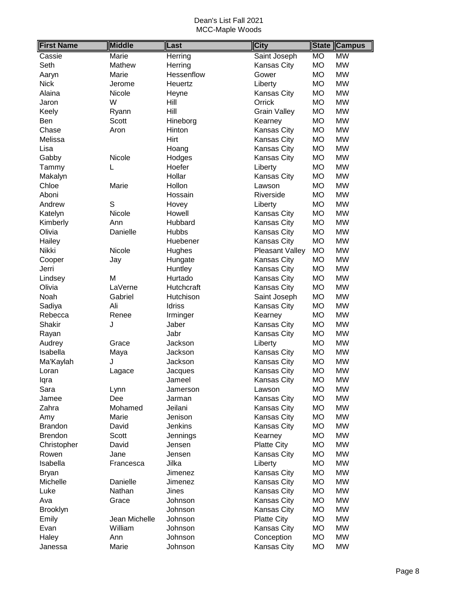| <b>First Name</b> | <b>Middle</b> | Last         | <b>City</b>         | <b>State</b> | <b>Campus</b> |
|-------------------|---------------|--------------|---------------------|--------------|---------------|
| Cassie            | Marie         | Herring      | Saint Joseph        | <b>MO</b>    | <b>MW</b>     |
| Seth              | Mathew        | Herring      | Kansas City         | <b>MO</b>    | <b>MW</b>     |
| Aaryn             | Marie         | Hessenflow   | Gower               | <b>MO</b>    | <b>MW</b>     |
| <b>Nick</b>       | Jerome        | Heuertz      | Liberty             | MO           | <b>MW</b>     |
| Alaina            | Nicole        | Heyne        | Kansas City         | MO           | <b>MW</b>     |
| Jaron             | W             | Hill         | Orrick              | <b>MO</b>    | <b>MW</b>     |
| Keely             | Ryann         | Hill         | <b>Grain Valley</b> | <b>MO</b>    | <b>MW</b>     |
| Ben               | Scott         | Hineborg     | Kearney             | <b>MO</b>    | <b>MW</b>     |
| Chase             | Aron          | Hinton       | Kansas City         | <b>MO</b>    | <b>MW</b>     |
| Melissa           |               | Hirt         | Kansas City         | <b>MO</b>    | <b>MW</b>     |
| Lisa              |               | Hoang        | Kansas City         | <b>MO</b>    | <b>MW</b>     |
| Gabby             | Nicole        | Hodges       | <b>Kansas City</b>  | <b>MO</b>    | <b>MW</b>     |
| Tammy             | L             | Hoefer       | Liberty             | <b>MO</b>    | <b>MW</b>     |
| Makalyn           |               | Hollar       | <b>Kansas City</b>  | <b>MO</b>    | <b>MW</b>     |
| Chloe             | Marie         | Hollon       | Lawson              | <b>MO</b>    | <b>MW</b>     |
| Aboni             |               | Hossain      | Riverside           | <b>MO</b>    | <b>MW</b>     |
| Andrew            | S             | Hovey        | Liberty             | <b>MO</b>    | <b>MW</b>     |
| Katelyn           | Nicole        | Howell       | <b>Kansas City</b>  | <b>MO</b>    | <b>MW</b>     |
| Kimberly          | Ann           | Hubbard      | Kansas City         | <b>MO</b>    | <b>MW</b>     |
| Olivia            | Danielle      | <b>Hubbs</b> | Kansas City         | <b>MO</b>    | <b>MW</b>     |
| Hailey            |               | Huebener     | Kansas City         | <b>MO</b>    | <b>MW</b>     |
| Nikki             | Nicole        | Hughes       | Pleasant Valley     | <b>MO</b>    | <b>MW</b>     |
| Cooper            | Jay           | Hungate      | Kansas City         | <b>MO</b>    | <b>MW</b>     |
| Jerri             |               | Huntley      | Kansas City         | <b>MO</b>    | <b>MW</b>     |
| Lindsey           | M             | Hurtado      | Kansas City         | MO           | <b>MW</b>     |
| Olivia            | LaVerne       | Hutchcraft   | Kansas City         | <b>MO</b>    | <b>MW</b>     |
| Noah              | Gabriel       | Hutchison    | Saint Joseph        | <b>MO</b>    | <b>MW</b>     |
| Sadiya            | Ali           | Idriss       | <b>Kansas City</b>  | <b>MO</b>    | <b>MW</b>     |
| Rebecca           | Renee         | Irminger     | Kearney             | <b>MO</b>    | <b>MW</b>     |
| Shakir            | J             | Jaber        | <b>Kansas City</b>  | <b>MO</b>    | <b>MW</b>     |
| Rayan             |               | Jabr         | <b>Kansas City</b>  | MO           | <b>MW</b>     |
| Audrey            | Grace         | Jackson      | Liberty             | <b>MO</b>    | <b>MW</b>     |
| Isabella          | Maya          | Jackson      | <b>Kansas City</b>  | <b>MO</b>    | <b>MW</b>     |
| Ma'Kaylah         | J             | Jackson      | <b>Kansas City</b>  | <b>MO</b>    | <b>MW</b>     |
| Loran             | Lagace        | Jacques      | <b>Kansas City</b>  | <b>MO</b>    | <b>MW</b>     |
| lqra              |               | Jameel       | <b>Kansas City</b>  | MO           | <b>MW</b>     |
| Sara              | Lynn          | Jamerson     | Lawson              | MO           | <b>MW</b>     |
| Jamee             | Dee           | Jarman       | <b>Kansas City</b>  | MO           | <b>MW</b>     |
| Zahra             | Mohamed       | Jeilani      | Kansas City         | MO           | <b>MW</b>     |
| Amy               | Marie         | Jenison      | Kansas City         | MO           | <b>MW</b>     |
| <b>Brandon</b>    | David         | Jenkins      | <b>Kansas City</b>  | МO           | <b>MW</b>     |
| <b>Brendon</b>    | Scott         | Jennings     | Kearney             | MO           | <b>MW</b>     |
| Christopher       | David         | Jensen       | <b>Platte City</b>  | MO           | <b>MW</b>     |
| Rowen             | Jane          | Jensen       | <b>Kansas City</b>  | <b>MO</b>    | <b>MW</b>     |
| Isabella          | Francesca     | Jilka        | Liberty             | <b>MO</b>    | <b>MW</b>     |
| <b>Bryan</b>      |               | Jimenez      | Kansas City         | MO           | <b>MW</b>     |
| Michelle          | Danielle      | Jimenez      | Kansas City         | МO           | <b>MW</b>     |
| Luke              | Nathan        | Jines        | <b>Kansas City</b>  | МO           | <b>MW</b>     |
| Ava               | Grace         | Johnson      | <b>Kansas City</b>  | <b>MO</b>    | <b>MW</b>     |
| <b>Brooklyn</b>   |               | Johnson      | <b>Kansas City</b>  | MO           | <b>MW</b>     |
| Emily             | Jean Michelle | Johnson      | <b>Platte City</b>  | <b>MO</b>    | <b>MW</b>     |
| Evan              | William       | Johnson      | Kansas City         | MO           | <b>MW</b>     |
| Haley             | Ann           | Johnson      | Conception          | MO           | <b>MW</b>     |
| Janessa           | Marie         | Johnson      | <b>Kansas City</b>  | <b>MO</b>    | <b>MW</b>     |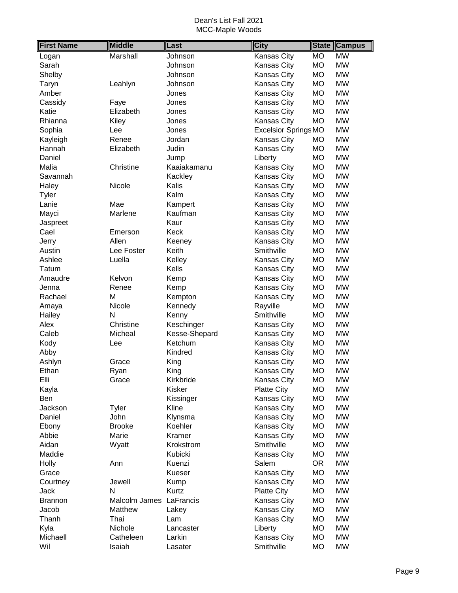| <b>First Name</b> | <b>Middle</b> | Last          | <b>City</b>                 | <b>State</b> | <b>Campus</b> |
|-------------------|---------------|---------------|-----------------------------|--------------|---------------|
| Logan             | Marshall      | Johnson       | Kansas City                 | <b>MO</b>    | <b>MW</b>     |
| Sarah             |               | Johnson       | Kansas City                 | <b>MO</b>    | <b>MW</b>     |
| Shelby            |               | Johnson       | Kansas City                 | <b>MO</b>    | <b>MW</b>     |
| Taryn             | Leahlyn       | Johnson       | Kansas City                 | <b>MO</b>    | <b>MW</b>     |
| Amber             |               | Jones         | Kansas City                 | <b>MO</b>    | <b>MW</b>     |
| Cassidy           | Faye          | Jones         | Kansas City                 | <b>MO</b>    | <b>MW</b>     |
| Katie             | Elizabeth     | Jones         | Kansas City                 | <b>MO</b>    | <b>MW</b>     |
| Rhianna           | Kiley         | Jones         | Kansas City                 | <b>MO</b>    | <b>MW</b>     |
| Sophia            | Lee           | Jones         | <b>Excelsior Springs MO</b> |              | <b>MW</b>     |
| Kayleigh          | Renee         | Jordan        | Kansas City                 | <b>MO</b>    | <b>MW</b>     |
| Hannah            | Elizabeth     | Judin         | Kansas City                 | <b>MO</b>    | <b>MW</b>     |
| Daniel            |               | Jump          | Liberty                     | <b>MO</b>    | <b>MW</b>     |
| Malia             | Christine     | Kaaiakamanu   | Kansas City                 | <b>MO</b>    | <b>MW</b>     |
| Savannah          |               | Kackley       | Kansas City                 | <b>MO</b>    | <b>MW</b>     |
| Haley             | Nicole        | Kalis         | Kansas City                 | <b>MO</b>    | <b>MW</b>     |
| Tyler             |               | Kalm          | Kansas City                 | <b>MO</b>    | <b>MW</b>     |
| Lanie             | Mae           | Kampert       | Kansas City                 | <b>MO</b>    | <b>MW</b>     |
| Mayci             | Marlene       | Kaufman       | Kansas City                 | <b>MO</b>    | <b>MW</b>     |
| Jaspreet          |               | Kaur          | Kansas City                 | <b>MO</b>    | <b>MW</b>     |
| Cael              | Emerson       | Keck          | Kansas City                 | <b>MO</b>    | <b>MW</b>     |
| Jerry             | Allen         | Keeney        | Kansas City                 | <b>MO</b>    | <b>MW</b>     |
| Austin            | Lee Foster    | Keith         | Smithville                  | <b>MO</b>    | <b>MW</b>     |
| Ashlee            | Luella        | Kelley        | Kansas City                 | <b>MO</b>    | <b>MW</b>     |
| Tatum             |               | Kells         | Kansas City                 | <b>MO</b>    | <b>MW</b>     |
| Amaudre           | Kelvon        | Kemp          | Kansas City                 | <b>MO</b>    | <b>MW</b>     |
| Jenna             | Renee         | Kemp          | Kansas City                 | <b>MO</b>    | <b>MW</b>     |
| Rachael           | M             | Kempton       | <b>Kansas City</b>          | <b>MO</b>    | <b>MW</b>     |
| Amaya             | Nicole        | Kennedy       | Rayville                    | <b>MO</b>    | <b>MW</b>     |
| Hailey            | N             | Kenny         | Smithville                  | <b>MO</b>    | <b>MW</b>     |
| Alex              | Christine     | Keschinger    | Kansas City                 | <b>MO</b>    | <b>MW</b>     |
| Caleb             | Micheal       | Kesse-Shepard | Kansas City                 | <b>MO</b>    | <b>MW</b>     |
| Kody              | Lee           | Ketchum       | Kansas City                 | <b>MO</b>    | <b>MW</b>     |
| Abby              |               | Kindred       | Kansas City                 | <b>MO</b>    | <b>MW</b>     |
| Ashlyn            | Grace         | King          | Kansas City                 | <b>MO</b>    | <b>MW</b>     |
| Ethan             | Ryan          | King          | <b>Kansas City</b>          | <b>MO</b>    | <b>MW</b>     |
| Elli              | Grace         | Kirkbride     | <b>Kansas City</b>          | <b>MO</b>    | <b>MW</b>     |
| Kayla             |               | Kisker        | <b>Platte City</b>          | <b>MO</b>    | <b>MW</b>     |
| Ben               |               | Kissinger     | Kansas City                 | <b>MO</b>    | <b>MW</b>     |
| Jackson           | <b>Tyler</b>  | Kline         | Kansas City                 | <b>MO</b>    | <b>MW</b>     |
| Daniel            | John          | Klynsma       | Kansas City                 | <b>MO</b>    | <b>MW</b>     |
| Ebony             | <b>Brooke</b> | Koehler       | Kansas City                 | <b>MO</b>    | <b>MW</b>     |
| Abbie             | Marie         | Kramer        | Kansas City                 | <b>MO</b>    | <b>MW</b>     |
| Aidan             | Wyatt         | Krokstrom     | Smithville                  | <b>MO</b>    | <b>MW</b>     |
| Maddie            |               | Kubicki       | <b>Kansas City</b>          | <b>MO</b>    | <b>MW</b>     |
| Holly             | Ann           | Kuenzi        | Salem                       | <b>OR</b>    | <b>MW</b>     |
| Grace             |               | Kueser        | Kansas City                 | <b>MO</b>    | <b>MW</b>     |
| Courtney          | Jewell        | Kump          | Kansas City                 | <b>MO</b>    | <b>MW</b>     |
| Jack              | N             | Kurtz         | <b>Platte City</b>          | <b>MO</b>    | <b>MW</b>     |
| <b>Brannon</b>    | Malcolm James | LaFrancis     | Kansas City                 | <b>MO</b>    | <b>MW</b>     |
| Jacob             | Matthew       | Lakey         | Kansas City                 | <b>MO</b>    | <b>MW</b>     |
| Thanh             | Thai          | Lam           | <b>Kansas City</b>          | <b>MO</b>    | <b>MW</b>     |
| Kyla              | Nichole       | Lancaster     | Liberty                     | <b>MO</b>    | <b>MW</b>     |
| Michaell          | Catheleen     | Larkin        | Kansas City                 | <b>MO</b>    | <b>MW</b>     |
| Wil               | Isaiah        | Lasater       | Smithville                  | <b>MO</b>    | <b>MW</b>     |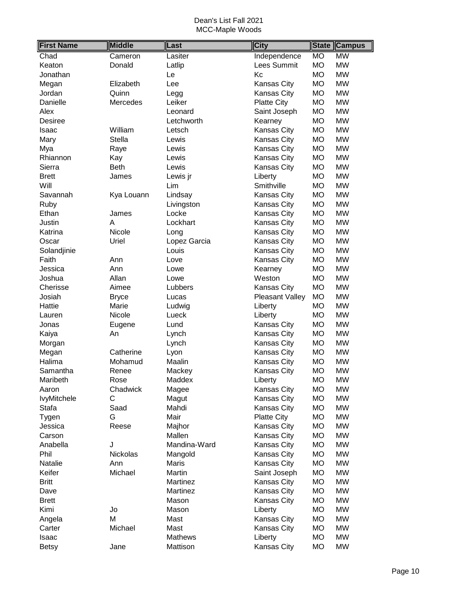| <b>First Name</b>  | <b>Middle</b> | Last           | <b>City</b>        | <b>State</b> | <b>Campus</b> |
|--------------------|---------------|----------------|--------------------|--------------|---------------|
| Chad               | Cameron       | Lasiter        | Independence       | <b>MO</b>    | <b>MW</b>     |
| Keaton             | Donald        | Latlip         | Lees Summit        | <b>MO</b>    | <b>MW</b>     |
| Jonathan           |               | Le             | Kc                 | <b>MO</b>    | <b>MW</b>     |
| Megan              | Elizabeth     | Lee            | Kansas City        | МO           | <b>MW</b>     |
| Jordan             | Quinn         | Legg           | Kansas City        | MO           | <b>MW</b>     |
| Danielle           | Mercedes      | Leiker         | <b>Platte City</b> | <b>MO</b>    | <b>MW</b>     |
| Alex               |               | Leonard        | Saint Joseph       | <b>MO</b>    | <b>MW</b>     |
| <b>Desiree</b>     |               | Letchworth     | Kearney            | <b>MO</b>    | <b>MW</b>     |
| Isaac              | William       | Letsch         | Kansas City        | <b>MO</b>    | <b>MW</b>     |
| Mary               | <b>Stella</b> | Lewis          | Kansas City        | <b>MO</b>    | <b>MW</b>     |
| Mya                | Raye          | Lewis          | Kansas City        | <b>MO</b>    | <b>MW</b>     |
| Rhiannon           | Kay           | Lewis          | Kansas City        | <b>MO</b>    | <b>MW</b>     |
| Sierra             | <b>Beth</b>   | Lewis          | Kansas City        | MO           | <b>MW</b>     |
| <b>Brett</b>       | James         | Lewis jr       | Liberty            | MO           | <b>MW</b>     |
| Will               |               | Lim            | Smithville         | <b>MO</b>    | <b>MW</b>     |
| Savannah           | Kya Louann    | Lindsay        | Kansas City        | <b>MO</b>    | <b>MW</b>     |
| Ruby               |               | Livingston     | Kansas City        | <b>MO</b>    | <b>MW</b>     |
| Ethan              | James         | Locke          | Kansas City        | MO           | <b>MW</b>     |
| Justin             | A             | Lockhart       | Kansas City        | MO           | <b>MW</b>     |
| Katrina            | Nicole        | Long           | Kansas City        | <b>MO</b>    | <b>MW</b>     |
| Oscar              | Uriel         | Lopez Garcia   | Kansas City        | МO           | <b>MW</b>     |
| Solandjinie        |               | Louis          | Kansas City        | МO           | <b>MW</b>     |
| Faith              | Ann           | Love           | Kansas City        | <b>MO</b>    | <b>MW</b>     |
| Jessica            | Ann           | Lowe           | Kearney            | <b>MO</b>    | <b>MW</b>     |
| Joshua             | Allan         | Lowe           | Weston             | <b>MO</b>    | <b>MW</b>     |
| Cherisse           | Aimee         | Lubbers        | Kansas City        | <b>MO</b>    | <b>MW</b>     |
| Josiah             | <b>Bryce</b>  | Lucas          | Pleasant Valley    | <b>MO</b>    | <b>MW</b>     |
| Hattie             | Marie         | Ludwig         | Liberty            | <b>MO</b>    | <b>MW</b>     |
| Lauren             | Nicole        | Lueck          | Liberty            | <b>MO</b>    | <b>MW</b>     |
| Jonas              | Eugene        | Lund           | Kansas City        | MO           | <b>MW</b>     |
| Kaiya              | An            | Lynch          | Kansas City        | <b>MO</b>    | <b>MW</b>     |
| Morgan             |               | Lynch          | Kansas City        | <b>MO</b>    | <b>MW</b>     |
| Megan              | Catherine     | Lyon           | Kansas City        | <b>MO</b>    | <b>MW</b>     |
| Halima             | Mohamud       | Maalin         | Kansas City        | <b>MO</b>    | <b>MW</b>     |
| Samantha           | Renee         | Mackey         | <b>Kansas City</b> | <b>MO</b>    | <b>MW</b>     |
| Maribeth           | Rose          | Maddex         | Liberty            | <b>MO</b>    | <b>MW</b>     |
| Aaron              | Chadwick      | Magee          | Kansas City        | <b>MO</b>    | <b>MW</b>     |
| <b>lvyMitchele</b> | C             | Magut          | Kansas City        | MO           | <b>MW</b>     |
| Stafa              | Saad          | Mahdi          | Kansas City        | МO           | <b>MW</b>     |
| Tygen              | G             | Mair           | <b>Platte City</b> | MO           | <b>MW</b>     |
| Jessica            | Reese         | Majhor         | Kansas City        | <b>MO</b>    | <b>MW</b>     |
| Carson             |               | Mallen         | Kansas City        | МO           | <b>MW</b>     |
| Anabella           | J             | Mandina-Ward   | Kansas City        | <b>MO</b>    | <b>MW</b>     |
| Phil               | Nickolas      | Mangold        | Kansas City        | <b>MO</b>    | <b>MW</b>     |
| Natalie            | Ann           | <b>Maris</b>   | Kansas City        | <b>MO</b>    | <b>MW</b>     |
| Keifer             | Michael       | Martin         | Saint Joseph       | MO           | <b>MW</b>     |
| <b>Britt</b>       |               | Martinez       | Kansas City        | MO           | <b>MW</b>     |
| Dave               |               | Martinez       | Kansas City        | <b>MO</b>    | <b>MW</b>     |
| <b>Brett</b>       |               | Mason          | Kansas City        | <b>MO</b>    | <b>MW</b>     |
| Kimi               | Jo            | Mason          | Liberty            | <b>MO</b>    | <b>MW</b>     |
| Angela             | M             | Mast           | Kansas City        | MO           | <b>MW</b>     |
| Carter             | Michael       | Mast           | Kansas City        | <b>MO</b>    | <b>MW</b>     |
| Isaac              |               | <b>Mathews</b> | Liberty            | <b>MO</b>    | <b>MW</b>     |
| <b>Betsy</b>       | Jane          | Mattison       | Kansas City        | МO           | MW            |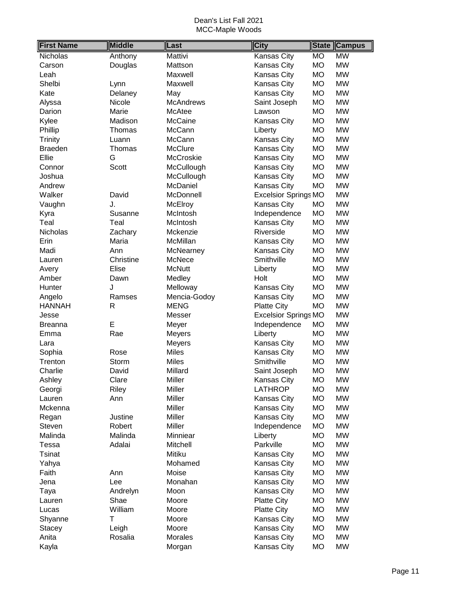| <b>First Name</b> | <b>Middle</b> | Last             | <b>City</b>                 | <b>State</b> | <b>Campus</b> |
|-------------------|---------------|------------------|-----------------------------|--------------|---------------|
| Nicholas          | Anthony       | Mattivi          | <b>Kansas City</b>          | <b>MO</b>    | <b>MW</b>     |
| Carson            | Douglas       | Mattson          | Kansas City                 | <b>MO</b>    | <b>MW</b>     |
| Leah              |               | Maxwell          | Kansas City                 | <b>MO</b>    | <b>MW</b>     |
| Shelbi            | Lynn          | Maxwell          | Kansas City                 | <b>MO</b>    | <b>MW</b>     |
| Kate              | Delaney       | May              | Kansas City                 | <b>MO</b>    | <b>MW</b>     |
| Alyssa            | Nicole        | <b>McAndrews</b> | Saint Joseph                | <b>MO</b>    | <b>MW</b>     |
| Darion            | Marie         | McAtee           | Lawson                      | <b>MO</b>    | <b>MW</b>     |
| Kylee             | Madison       | McCaine          | <b>Kansas City</b>          | <b>MO</b>    | <b>MW</b>     |
| Phillip           | Thomas        | McCann           | Liberty                     | <b>MO</b>    | <b>MW</b>     |
| Trinity           | Luann         | McCann           | Kansas City                 | <b>MO</b>    | <b>MW</b>     |
| <b>Braeden</b>    | Thomas        | <b>McClure</b>   | Kansas City                 | <b>MO</b>    | <b>MW</b>     |
| Ellie             | G             | McCroskie        | Kansas City                 | <b>MO</b>    | <b>MW</b>     |
| Connor            | Scott         | McCullough       | Kansas City                 | <b>MO</b>    | <b>MW</b>     |
| Joshua            |               | McCullough       | Kansas City                 | <b>MO</b>    | <b>MW</b>     |
| Andrew            |               | <b>McDaniel</b>  | Kansas City                 | <b>MO</b>    | <b>MW</b>     |
| Walker            | David         | McDonnell        | <b>Excelsior Springs MO</b> |              | <b>MW</b>     |
| Vaughn            | J.            | McElroy          | Kansas City                 | <b>MO</b>    | <b>MW</b>     |
| Kyra              | Susanne       | McIntosh         | Independence                | <b>MO</b>    | <b>MW</b>     |
| Teal              | Teal          | McIntosh         | Kansas City                 | <b>MO</b>    | <b>MW</b>     |
| Nicholas          | Zachary       | Mckenzie         | Riverside                   | <b>MO</b>    | <b>MW</b>     |
| Erin              | Maria         | McMillan         | Kansas City                 | <b>MO</b>    | <b>MW</b>     |
| Madi              | Ann           | McNearney        | Kansas City                 | <b>MO</b>    | <b>MW</b>     |
| Lauren            | Christine     | McNece           | Smithville                  | <b>MO</b>    | <b>MW</b>     |
| Avery             | Elise         | <b>McNutt</b>    | Liberty                     | <b>MO</b>    | <b>MW</b>     |
| Amber             | Dawn          | Medley           | Holt                        | <b>MO</b>    | <b>MW</b>     |
| Hunter            | J             | Melloway         | Kansas City                 | <b>MO</b>    | <b>MW</b>     |
| Angelo            | Ramses        | Mencia-Godoy     | Kansas City                 | <b>MO</b>    | <b>MW</b>     |
| <b>HANNAH</b>     | $\mathsf{R}$  | <b>MENG</b>      | <b>Platte City</b>          | <b>MO</b>    | <b>MW</b>     |
| Jesse             |               | Messer           | <b>Excelsior Springs MO</b> |              | <b>MW</b>     |
| <b>Breanna</b>    | E             | Meyer            | Independence                | <b>MO</b>    | <b>MW</b>     |
| Emma              | Rae           | Meyers           | Liberty                     | <b>MO</b>    | <b>MW</b>     |
| Lara              |               | <b>Meyers</b>    | Kansas City                 | <b>MO</b>    | <b>MW</b>     |
| Sophia            | Rose          | <b>Miles</b>     | Kansas City                 | <b>MO</b>    | <b>MW</b>     |
| Trenton           | Storm         | <b>Miles</b>     | Smithville                  | <b>MO</b>    | <b>MW</b>     |
| Charlie           | David         | Millard          | Saint Joseph                | <b>MO</b>    | <b>MW</b>     |
| Ashley            | Clare         | Miller           | Kansas City                 | <b>MO</b>    | <b>MW</b>     |
| Georgi            | <b>Riley</b>  | Miller           | <b>LATHROP</b>              | <b>MO</b>    | <b>MW</b>     |
| Lauren            | Ann           | Miller           | Kansas City                 | <b>MO</b>    | <b>MW</b>     |
| Mckenna           |               | <b>Miller</b>    | Kansas City                 | MO           | <b>MW</b>     |
| Regan             | Justine       | <b>Miller</b>    | Kansas City                 | <b>MO</b>    | <b>MW</b>     |
| Steven            | Robert        | Miller           | Independence                | <b>MO</b>    | <b>MW</b>     |
| Malinda           | Malinda       | Minniear         | Liberty                     | <b>MO</b>    | <b>MW</b>     |
| Tessa             | Adalai        | Mitchell         | Parkville                   | <b>MO</b>    | <b>MW</b>     |
| <b>Tsinat</b>     |               | Mitiku           | Kansas City                 | <b>MO</b>    | <b>MW</b>     |
| Yahya             |               | Mohamed          | Kansas City                 | <b>MO</b>    | <b>MW</b>     |
| Faith             | Ann           | Moise            | Kansas City                 | <b>MO</b>    | <b>MW</b>     |
| Jena              | Lee           | Monahan          | Kansas City                 | <b>MO</b>    | <b>MW</b>     |
| Taya              | Andrelyn      | Moon             | Kansas City                 | <b>MO</b>    | <b>MW</b>     |
| Lauren            | Shae          | Moore            | <b>Platte City</b>          | <b>MO</b>    | <b>MW</b>     |
| Lucas             | William       | Moore            | <b>Platte City</b>          | <b>MO</b>    | <b>MW</b>     |
| Shyanne           | T             | Moore            | Kansas City                 | MO           | <b>MW</b>     |
| <b>Stacey</b>     | Leigh         | Moore            | Kansas City                 | MO           | <b>MW</b>     |
| Anita             | Rosalia       | <b>Morales</b>   | Kansas City                 | <b>MO</b>    | <b>MW</b>     |
| Kayla             |               | Morgan           | Kansas City                 | <b>MO</b>    | <b>MW</b>     |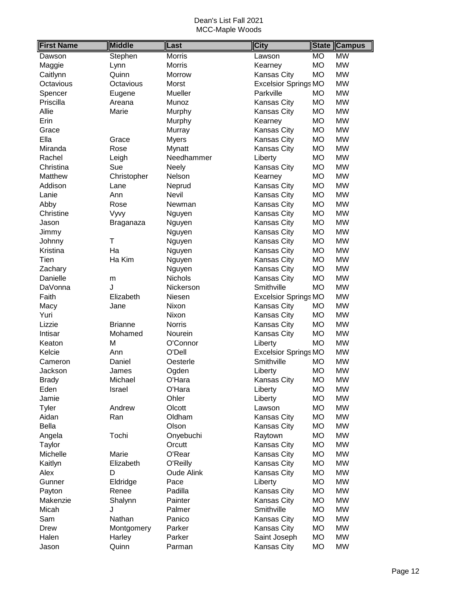| <b>First Name</b> | <b>Middle</b>  | Last              | <b>City</b>                 | <b>State</b> | <b>Campus</b> |
|-------------------|----------------|-------------------|-----------------------------|--------------|---------------|
| Dawson            | Stephen        | Morris            | Lawson                      | <b>MO</b>    | <b>MW</b>     |
| Maggie            | Lynn           | Morris            | Kearney                     | <b>MO</b>    | <b>MW</b>     |
| Caitlynn          | Quinn          | Morrow            | Kansas City                 | <b>MO</b>    | <b>MW</b>     |
| Octavious         | Octavious      | Morst             | <b>Excelsior Springs MO</b> |              | <b>MW</b>     |
| Spencer           | Eugene         | Mueller           | Parkville                   | <b>MO</b>    | <b>MW</b>     |
| Priscilla         | Areana         | Munoz             | <b>Kansas City</b>          | MO           | <b>MW</b>     |
| Allie             | Marie          | Murphy            | <b>Kansas City</b>          | MO           | <b>MW</b>     |
| Erin              |                | Murphy            | Kearney                     | <b>MO</b>    | <b>MW</b>     |
| Grace             |                | Murray            | Kansas City                 | <b>MO</b>    | <b>MW</b>     |
| Ella              | Grace          | <b>Myers</b>      | <b>Kansas City</b>          | <b>MO</b>    | <b>MW</b>     |
| Miranda           | Rose           | Mynatt            | <b>Kansas City</b>          | <b>MO</b>    | <b>MW</b>     |
| Rachel            | Leigh          | Needhammer        | Liberty                     | <b>MO</b>    | <b>MW</b>     |
| Christina         | Sue            | <b>Neely</b>      | <b>Kansas City</b>          | <b>MO</b>    | <b>MW</b>     |
| Matthew           | Christopher    | Nelson            | Kearney                     | <b>MO</b>    | <b>MW</b>     |
| Addison           | Lane           | Neprud            | <b>Kansas City</b>          | <b>MO</b>    | <b>MW</b>     |
| Lanie             | Ann            | Nevil             | <b>Kansas City</b>          | <b>MO</b>    | <b>MW</b>     |
| Abby              | Rose           | Newman            | <b>Kansas City</b>          | <b>MO</b>    | <b>MW</b>     |
| Christine         | Vyvy           | Nguyen            | <b>Kansas City</b>          | <b>MO</b>    | <b>MW</b>     |
| Jason             | Braganaza      | Nguyen            | <b>Kansas City</b>          | <b>MO</b>    | <b>MW</b>     |
| Jimmy             |                | Nguyen            | <b>Kansas City</b>          | <b>MO</b>    | <b>MW</b>     |
| Johnny            | T              | Nguyen            | Kansas City                 | <b>MO</b>    | <b>MW</b>     |
| Kristina          | Ha             | Nguyen            | <b>Kansas City</b>          | <b>MO</b>    | <b>MW</b>     |
| Tien              | Ha Kim         | Nguyen            | Kansas City                 | <b>MO</b>    | <b>MW</b>     |
| Zachary           |                | Nguyen            | <b>Kansas City</b>          | MO           | <b>MW</b>     |
| Danielle          | m              | Nichols           | <b>Kansas City</b>          | <b>MO</b>    | <b>MW</b>     |
| DaVonna           | J              | Nickerson         | Smithville                  | <b>MO</b>    | <b>MW</b>     |
| Faith             | Elizabeth      | Niesen            | <b>Excelsior Springs MO</b> |              | <b>MW</b>     |
| Macy              | Jane           | Nixon             | Kansas City                 | MO           | <b>MW</b>     |
| Yuri              |                | Nixon             | Kansas City                 | <b>MO</b>    | <b>MW</b>     |
| Lizzie            | <b>Brianne</b> | <b>Norris</b>     | Kansas City                 | <b>MO</b>    | <b>MW</b>     |
| Intisar           | Mohamed        | Nourein           | <b>Kansas City</b>          | <b>MO</b>    | <b>MW</b>     |
| Keaton            | M              | O'Connor          | Liberty                     | MO           | <b>MW</b>     |
| Kelcie            | Ann            | O'Dell            | <b>Excelsior Springs MO</b> |              | <b>MW</b>     |
| Cameron           | Daniel         | Oesterle          | Smithville                  | <b>MO</b>    | <b>MW</b>     |
| Jackson           | James          | Ogden             | Liberty                     | <b>MO</b>    | <b>MW</b>     |
| <b>Brady</b>      | Michael        | O'Hara            | Kansas City                 | MO           | <b>MW</b>     |
| Eden              | Israel         | O'Hara            | Liberty                     | <b>MO</b>    | <b>MW</b>     |
| Jamie             |                | Ohler             | Liberty                     | <b>MO</b>    | <b>MW</b>     |
| Tyler             | Andrew         | Olcott            | Lawson                      | MO           | <b>MW</b>     |
| Aidan             | Ran            | Oldham            | <b>Kansas City</b>          | MO           | <b>MW</b>     |
| <b>Bella</b>      |                | Olson             | Kansas City                 | MO           | <b>MW</b>     |
| Angela            | Tochi          | Onyebuchi         | Raytown                     | <b>MO</b>    | <b>MW</b>     |
| Taylor            |                | Orcutt            | Kansas City                 | MO           | <b>MW</b>     |
| Michelle          | Marie          | O'Rear            | Kansas City                 | MO           | <b>MW</b>     |
| Kaitlyn           | Elizabeth      | O'Reilly          | Kansas City                 | МO           | <b>MW</b>     |
| Alex              | D              | <b>Oude Alink</b> | <b>Kansas City</b>          | MO           | <b>MW</b>     |
| Gunner            | Eldridge       | Pace              | Liberty                     | <b>MO</b>    | <b>MW</b>     |
| Payton            | Renee          | Padilla           | Kansas City                 | MO           | <b>MW</b>     |
| Makenzie          | Shalynn        | Painter           | <b>Kansas City</b>          | MO           | <b>MW</b>     |
| Micah             | J              | Palmer            | Smithville                  | MO           | <b>MW</b>     |
| Sam               | Nathan         | Panico            | Kansas City                 | <b>MO</b>    | <b>MW</b>     |
| <b>Drew</b>       | Montgomery     | Parker            | Kansas City                 | <b>MO</b>    | <b>MW</b>     |
| Halen             | Harley         | Parker            | Saint Joseph                | MO           | <b>MW</b>     |
| Jason             | Quinn          | Parman            | Kansas City                 | MO           | <b>MW</b>     |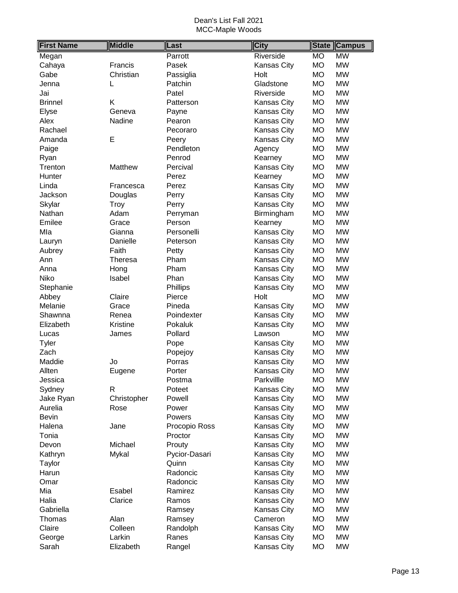| <b>First Name</b> | <b>Middle</b>  | Last          | <b>City</b>        | <b>Campus</b><br><b>State</b> |
|-------------------|----------------|---------------|--------------------|-------------------------------|
| Megan             |                | Parrott       | Riverside          | <b>MW</b><br><b>MO</b>        |
| Cahaya            | Francis        | Pasek         | Kansas City        | <b>MO</b><br><b>MW</b>        |
| Gabe              | Christian      | Passiglia     | Holt               | <b>MO</b><br><b>MW</b>        |
| Jenna             | L              | Patchin       | Gladstone          | <b>MW</b><br><b>MO</b>        |
| Jai               |                | Patel         | Riverside          | <b>MW</b><br><b>MO</b>        |
| <b>Brinnel</b>    | Κ              | Patterson     | Kansas City        | <b>MO</b><br><b>MW</b>        |
| Elyse             | Geneva         | Payne         | <b>Kansas City</b> | <b>MO</b><br><b>MW</b>        |
| Alex              | Nadine         | Pearon        | Kansas City        | <b>MW</b><br><b>MO</b>        |
| Rachael           |                | Pecoraro      | <b>Kansas City</b> | <b>MW</b><br><b>MO</b>        |
| Amanda            | E              | Peery         | Kansas City        | <b>MO</b><br><b>MW</b>        |
| Paige             |                | Pendleton     | Agency             | <b>MW</b><br><b>MO</b>        |
| Ryan              |                | Penrod        | Kearney            | <b>MW</b><br><b>MO</b>        |
| Trenton           | Matthew        | Percival      | Kansas City        | <b>MW</b><br><b>MO</b>        |
| Hunter            |                | Perez         | Kearney            | <b>MW</b><br><b>MO</b>        |
| Linda             | Francesca      | Perez         | Kansas City        | <b>MW</b><br><b>MO</b>        |
| Jackson           | Douglas        | Perry         | Kansas City        | <b>MW</b><br><b>MO</b>        |
| Skylar            | Troy           | Perry         | <b>Kansas City</b> | <b>MW</b><br><b>MO</b>        |
| Nathan            | Adam           | Perryman      | Birmingham         | <b>MW</b><br><b>MO</b>        |
| Emilee            | Grace          | Person        | Kearney            | <b>MW</b><br><b>MO</b>        |
| Mla               | Gianna         | Personelli    | <b>Kansas City</b> | <b>MO</b><br><b>MW</b>        |
| Lauryn            | Danielle       | Peterson      | Kansas City        | <b>MW</b><br><b>MO</b>        |
| Aubrey            | Faith          | Petty         | Kansas City        | <b>MW</b><br><b>MO</b>        |
| Ann               | <b>Theresa</b> | Pham          | Kansas City        | <b>MO</b><br><b>MW</b>        |
| Anna              | Hong           | Pham          | Kansas City        | <b>MW</b><br>MO               |
| Niko              | Isabel         | Phan          | Kansas City        | <b>MW</b><br><b>MO</b>        |
| Stephanie         |                | Phillips      | Kansas City        | <b>MW</b><br><b>MO</b>        |
| Abbey             | Claire         | Pierce        | Holt               | <b>MW</b><br><b>MO</b>        |
| Melanie           | Grace          | Pineda        | Kansas City        | <b>MO</b><br><b>MW</b>        |
| Shawnna           | Renea          | Poindexter    | Kansas City        | <b>MW</b><br><b>MO</b>        |
| Elizabeth         | Kristine       | Pokaluk       | Kansas City        | <b>MO</b><br><b>MW</b>        |
| Lucas             | James          | Pollard       | Lawson             | <b>MO</b><br><b>MW</b>        |
| Tyler             |                | Pope          | <b>Kansas City</b> | <b>MW</b><br><b>MO</b>        |
| Zach              |                | Popejoy       | Kansas City        | <b>MO</b><br><b>MW</b>        |
| Maddie            | Jo             | Porras        | Kansas City        | <b>MO</b><br><b>MW</b>        |
| Allten            | Eugene         | Porter        | Kansas City        | <b>MO</b><br><b>MW</b>        |
| Jessica           |                | Postma        | Parkvillle         | <b>MO</b><br><b>MW</b>        |
| Sydney            | R              | Poteet        | Kansas City        | <b>MW</b><br><b>MO</b>        |
| Jake Ryan         | Christopher    | Powell        | Kansas City        | <b>MW</b><br><b>MO</b>        |
| Aurelia           | Rose           | Power         | Kansas City        | <b>MW</b><br><b>MO</b>        |
| <b>Bevin</b>      |                | Powers        | Kansas City        | <b>MW</b><br><b>MO</b>        |
| Halena            | Jane           | Procopio Ross | Kansas City        | <b>MW</b><br>MO               |
| Tonia             |                | Proctor       | Kansas City        | <b>MW</b><br><b>MO</b>        |
| Devon             | Michael        | Prouty        | Kansas City        | <b>MW</b><br><b>MO</b>        |
| Kathryn           | Mykal          | Pycior-Dasari | Kansas City        | <b>MO</b><br><b>MW</b>        |
| Taylor            |                | Quinn         | Kansas City        | <b>MW</b><br><b>MO</b>        |
| Harun             |                | Radoncic      | Kansas City        | <b>MW</b><br><b>MO</b>        |
| Omar              |                | Radoncic      | Kansas City        | <b>MW</b><br><b>MO</b>        |
| Mia               | Esabel         | Ramirez       | Kansas City        | <b>MW</b><br><b>MO</b>        |
| Halia             | Clarice        | Ramos         | Kansas City        | <b>MO</b><br><b>MW</b>        |
| Gabriella         |                | Ramsey        | Kansas City        | <b>MW</b><br><b>MO</b>        |
| Thomas            | Alan           | Ramsey        | Cameron            | <b>MW</b><br><b>MO</b>        |
| Claire            | Colleen        | Randolph      | Kansas City        | <b>MW</b><br><b>MO</b>        |
| George            | Larkin         | Ranes         | Kansas City        | <b>MW</b><br><b>MO</b>        |
| Sarah             | Elizabeth      | Rangel        | Kansas City        | MO<br><b>MW</b>               |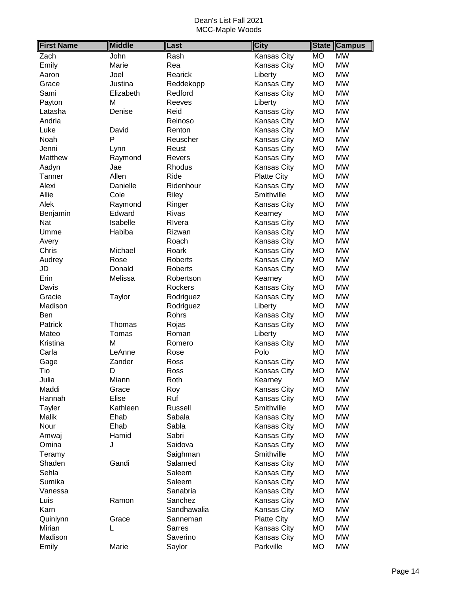| <b>First Name</b> | <b>Middle</b> | Last          | <b>City</b>        | <b>State</b> | <b>Campus</b> |
|-------------------|---------------|---------------|--------------------|--------------|---------------|
| Zach              | John          | Rash          | Kansas City        | MO           | <b>MW</b>     |
| Emily             | Marie         | Rea           | Kansas City        | <b>MO</b>    | <b>MW</b>     |
| Aaron             | Joel          | Rearick       | Liberty            | <b>MO</b>    | <b>MW</b>     |
| Grace             | Justina       | Reddekopp     | Kansas City        | MO           | <b>MW</b>     |
| Sami              | Elizabeth     | Redford       | Kansas City        | <b>MO</b>    | <b>MW</b>     |
| Payton            | M             | Reeves        | Liberty            | <b>MO</b>    | <b>MW</b>     |
| Latasha           | Denise        | Reid          | Kansas City        | <b>MO</b>    | <b>MW</b>     |
| Andria            |               | Reinoso       | Kansas City        | <b>MO</b>    | <b>MW</b>     |
| Luke              | David         | Renton        | Kansas City        | <b>MO</b>    | <b>MW</b>     |
| Noah              | P             | Reuscher      | Kansas City        | <b>MO</b>    | <b>MW</b>     |
| Jenni             | Lynn          | Reust         | Kansas City        | <b>MO</b>    | <b>MW</b>     |
| Matthew           | Raymond       | Revers        | Kansas City        | <b>MO</b>    | <b>MW</b>     |
| Aadyn             | Jae           | Rhodus        | Kansas City        | <b>MO</b>    | <b>MW</b>     |
| Tanner            | Allen         | Ride          | <b>Platte City</b> | MO           | <b>MW</b>     |
| Alexi             | Danielle      | Ridenhour     | Kansas City        | <b>MO</b>    | <b>MW</b>     |
| Allie             | Cole          | Riley         | Smithville         | <b>MO</b>    | <b>MW</b>     |
| Alek              | Raymond       | Ringer        | Kansas City        | <b>MO</b>    | <b>MW</b>     |
| Benjamin          | Edward        | <b>Rivas</b>  | Kearney            | <b>MO</b>    | <b>MW</b>     |
| Nat               | Isabelle      | Rivera        | Kansas City        | <b>MO</b>    | <b>MW</b>     |
| Umme              | Habiba        | Rizwan        | Kansas City        | <b>MO</b>    | <b>MW</b>     |
| Avery             |               | Roach         | Kansas City        | <b>MO</b>    | <b>MW</b>     |
| Chris             | Michael       | Roark         | Kansas City        | <b>MO</b>    | <b>MW</b>     |
| Audrey            | Rose          | Roberts       | Kansas City        | <b>MO</b>    | <b>MW</b>     |
| JD                | Donald        | Roberts       | Kansas City        | <b>MO</b>    | <b>MW</b>     |
| Erin              | Melissa       | Robertson     | Kearney            | <b>MO</b>    | <b>MW</b>     |
| Davis             |               | Rockers       | Kansas City        | <b>MO</b>    | <b>MW</b>     |
| Gracie            | Taylor        | Rodriguez     | Kansas City        | <b>MO</b>    | <b>MW</b>     |
| Madison           |               | Rodriguez     | Liberty            | <b>MO</b>    | <b>MW</b>     |
| Ben               |               | Rohrs         | Kansas City        | <b>MO</b>    | <b>MW</b>     |
| Patrick           | Thomas        | Rojas         | Kansas City        | <b>MO</b>    | <b>MW</b>     |
| Mateo             | Tomas         | Roman         | Liberty            | <b>MO</b>    | <b>MW</b>     |
| Kristina          | M             | Romero        | Kansas City        | <b>MO</b>    | <b>MW</b>     |
| Carla             | LeAnne        | Rose          | Polo               | <b>MO</b>    | <b>MW</b>     |
| Gage              | Zander        | Ross          | Kansas City        | <b>MO</b>    | <b>MW</b>     |
| Tio               | D             | Ross          | <b>Kansas City</b> | <b>MO</b>    | <b>MW</b>     |
| Julia             | Miann         | Roth          | Kearney            | <b>MO</b>    | <b>MW</b>     |
| Maddi             | Grace         | Roy           | Kansas City        | MO           | <b>MW</b>     |
| Hannah            | Elise         | Ruf           | Kansas City        | MO           | <b>MW</b>     |
| <b>Tayler</b>     | Kathleen      | Russell       | Smithville         | MO           | <b>MW</b>     |
| Malik             | Ehab          | Sabala        | Kansas City        | <b>MO</b>    | <b>MW</b>     |
| Nour              | Ehab          | Sabla         | Kansas City        | MO           | <b>MW</b>     |
| Amwaj             | Hamid         | Sabri         | Kansas City        | <b>MO</b>    | <b>MW</b>     |
| Omina             | J             | Saidova       | Kansas City        | MO           | <b>MW</b>     |
| Teramy            |               | Saighman      | Smithville         | <b>MO</b>    | <b>MW</b>     |
| Shaden            | Gandi         | Salamed       | Kansas City        | MO           | <b>MW</b>     |
| Sehla             |               | Saleem        | Kansas City        | MO           | <b>MW</b>     |
| Sumika            |               | Saleem        | Kansas City        | MO           | <b>MW</b>     |
| Vanessa           |               | Sanabria      | Kansas City        | MO           | <b>MW</b>     |
| Luis              | Ramon         | Sanchez       | Kansas City        | <b>MO</b>    | <b>MW</b>     |
| Karn              |               | Sandhawalia   | Kansas City        | МO           | <b>MW</b>     |
| Quinlynn          | Grace         | Sanneman      | <b>Platte City</b> | <b>MO</b>    | <b>MW</b>     |
| Mirian            | L             | <b>Sarres</b> | Kansas City        | <b>MO</b>    | <b>MW</b>     |
| Madison           |               | Saverino      | Kansas City        | <b>MO</b>    | <b>MW</b>     |
| Emily             | Marie         | Saylor        | Parkville          | МO           | <b>MW</b>     |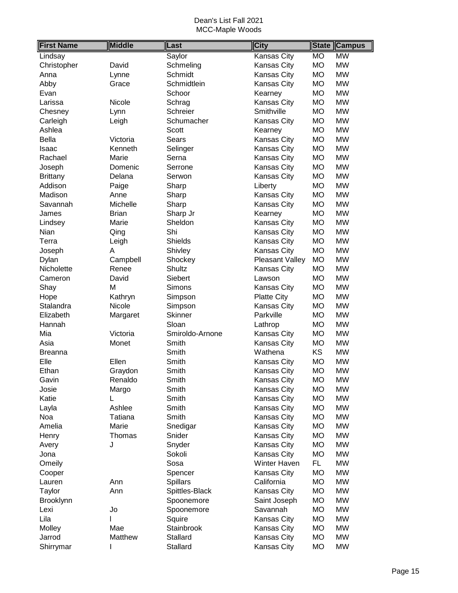| <b>First Name</b> | <b>Middle</b> | Last            | <b>City</b>        |           | <b>State Campus</b> |
|-------------------|---------------|-----------------|--------------------|-----------|---------------------|
| Lindsay           |               | Saylor          | Kansas City        | <b>MO</b> | <b>MW</b>           |
| Christopher       | David         | Schmeling       | Kansas City        | <b>MO</b> | <b>MW</b>           |
| Anna              | Lynne         | Schmidt         | <b>Kansas City</b> | <b>MO</b> | <b>MW</b>           |
| Abby              | Grace         | Schmidtlein     | Kansas City        | MO        | <b>MW</b>           |
| Evan              |               | Schoor          | Kearney            | МO        | <b>MW</b>           |
| Larissa           | Nicole        | Schrag          | Kansas City        | <b>MO</b> | <b>MW</b>           |
| Chesney           | Lynn          | Schreier        | Smithville         | <b>MO</b> | <b>MW</b>           |
| Carleigh          | Leigh         | Schumacher      | <b>Kansas City</b> | <b>MO</b> | <b>MW</b>           |
| Ashlea            |               | Scott           | Kearney            | <b>MO</b> | <b>MW</b>           |
| <b>Bella</b>      | Victoria      | Sears           | Kansas City        | <b>MO</b> | <b>MW</b>           |
| Isaac             | Kenneth       | Selinger        | Kansas City        | <b>MO</b> | <b>MW</b>           |
| Rachael           | Marie         | Serna           | Kansas City        | <b>MO</b> | <b>MW</b>           |
| Joseph            | Domenic       | Serrone         | Kansas City        | <b>MO</b> | <b>MW</b>           |
| <b>Brittany</b>   | Delana        | Serwon          | <b>Kansas City</b> | MO        | <b>MW</b>           |
| Addison           | Paige         | Sharp           | Liberty            | <b>MO</b> | <b>MW</b>           |
| Madison           | Anne          | Sharp           | <b>Kansas City</b> | <b>MO</b> | <b>MW</b>           |
| Savannah          | Michelle      | Sharp           | Kansas City        | MO        | <b>MW</b>           |
| James             | <b>Brian</b>  | Sharp Jr        | Kearney            | <b>MO</b> | <b>MW</b>           |
| Lindsey           | Marie         | Sheldon         | <b>Kansas City</b> | <b>MO</b> | <b>MW</b>           |
| Nian              | Qing          | Shi             | Kansas City        | <b>MO</b> | <b>MW</b>           |
| Terra             | Leigh         | <b>Shields</b>  | Kansas City        | МO        | <b>MW</b>           |
| Joseph            | Α             | Shivley         | Kansas City        | <b>MO</b> | <b>MW</b>           |
| Dylan             | Campbell      | Shockey         | Pleasant Valley    | <b>MO</b> | <b>MW</b>           |
| Nicholette        | Renee         | Shultz          | Kansas City        | <b>MO</b> | <b>MW</b>           |
| Cameron           | David         | Siebert         | Lawson             | <b>MO</b> | <b>MW</b>           |
| Shay              | М             | <b>Simons</b>   | Kansas City        | <b>MO</b> | <b>MW</b>           |
| Hope              | Kathryn       | Simpson         | <b>Platte City</b> | <b>MO</b> | <b>MW</b>           |
| Stalandra         | Nicole        | Simpson         | <b>Kansas City</b> | <b>MO</b> | <b>MW</b>           |
| Elizabeth         | Margaret      | <b>Skinner</b>  | Parkville          | <b>MO</b> | <b>MW</b>           |
| Hannah            |               | Sloan           | Lathrop            | MO        | <b>MW</b>           |
| Mia               | Victoria      | Smiroldo-Arnone | Kansas City        | <b>MO</b> | <b>MW</b>           |
| Asia              | Monet         | Smith           | <b>Kansas City</b> | <b>MO</b> | <b>MW</b>           |
| <b>Breanna</b>    |               | Smith           | Wathena            | <b>KS</b> | <b>MW</b>           |
| Elle              | Ellen         | Smith           | Kansas City        | <b>MO</b> | <b>MW</b>           |
| Ethan             | Graydon       | Smith           | <b>Kansas City</b> | <b>MO</b> | <b>MW</b>           |
| Gavin             | Renaldo       | Smith           | <b>Kansas City</b> | MO        | <b>MW</b>           |
| Josie             | Margo         | Smith           | Kansas City        | МO        | <b>MW</b>           |
| Katie             | L             | Smith           | Kansas City        | МO        | <b>MW</b>           |
| Layla             | Ashlee        | Smith           | Kansas City        | MO        | <b>MW</b>           |
| Noa               | Tatiana       | Smith           | Kansas City        | MO        | <b>MW</b>           |
| Amelia            | Marie         | Snedigar        | Kansas City        | МO        | <b>MW</b>           |
| Henry             | Thomas        | Snider          | Kansas City        | МO        | <b>MW</b>           |
| Avery             | J             | Snyder          | Kansas City        | <b>MO</b> | <b>MW</b>           |
| Jona              |               | Sokoli          | Kansas City        | <b>MO</b> | <b>MW</b>           |
| Omeily            |               | Sosa            | Winter Haven       | FL.       | <b>MW</b>           |
| Cooper            |               | Spencer         | <b>Kansas City</b> | MO        | <b>MW</b>           |
| Lauren            | Ann           | Spillars        | California         | МO        | <b>MW</b>           |
| Taylor            | Ann           | Spittles-Black  | Kansas City        | <b>MO</b> | <b>MW</b>           |
| Brooklynn         |               | Spoonemore      | Saint Joseph       | MO        | <b>MW</b>           |
| Lexi              | Jo            | Spoonemore      | Savannah           | MO        | <b>MW</b>           |
| Lila              |               | Squire          | Kansas City        | МO        | <b>MW</b>           |
| Molley            | Mae           | Stainbrook      | Kansas City        | MO        | <b>MW</b>           |
| Jarrod            | Matthew       | Stallard        | Kansas City        | МO        | <b>MW</b>           |
| Shirrymar         | I             | Stallard        | Kansas City        | МO        | <b>MW</b>           |
|                   |               |                 |                    |           |                     |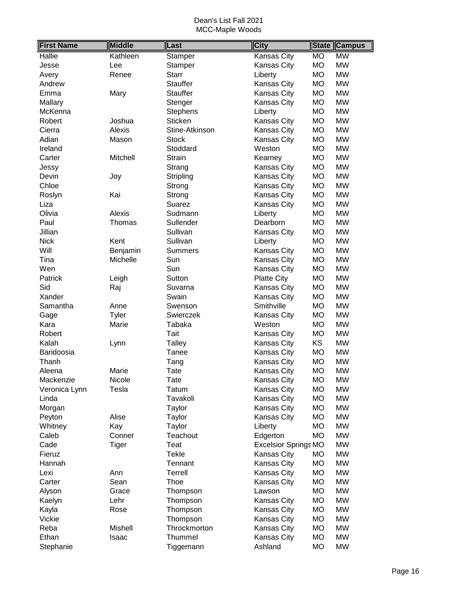| <b>First Name</b> | <b>Middle</b> | Last            | <b>City</b>                 | <b>State</b> | <b>Campus</b> |
|-------------------|---------------|-----------------|-----------------------------|--------------|---------------|
| <b>Hallie</b>     | Kathleen      | Stamper         | Kansas City                 | <b>MO</b>    | <b>MW</b>     |
| Jesse             | Lee           | Stamper         | Kansas City                 | <b>MO</b>    | <b>MW</b>     |
| Avery             | Renee         | <b>Starr</b>    | Liberty                     | <b>MO</b>    | <b>MW</b>     |
| Andrew            |               | <b>Stauffer</b> | Kansas City                 | <b>MO</b>    | <b>MW</b>     |
| Emma              | Mary          | <b>Stauffer</b> | Kansas City                 | <b>MO</b>    | <b>MW</b>     |
| Mallary           |               | Stenger         | Kansas City                 | <b>MO</b>    | <b>MW</b>     |
| McKenna           |               | <b>Stephens</b> | Liberty                     | <b>MO</b>    | <b>MW</b>     |
| Robert            | Joshua        | <b>Sticken</b>  | Kansas City                 | <b>MO</b>    | <b>MW</b>     |
| Cierra            | Alexis        | Stine-Atkinson  | Kansas City                 | <b>MO</b>    | <b>MW</b>     |
| Adian             | Mason         | <b>Stock</b>    | Kansas City                 | <b>MO</b>    | <b>MW</b>     |
| Ireland           |               | Stoddard        | Weston                      | <b>MO</b>    | <b>MW</b>     |
| Carter            | Mitchell      | <b>Strain</b>   | Kearney                     | <b>MO</b>    | <b>MW</b>     |
| Jessy             |               | Strang          | Kansas City                 | <b>MO</b>    | <b>MW</b>     |
| Devin             | Joy           | Stripling       | Kansas City                 | <b>MO</b>    | <b>MW</b>     |
| Chloe             |               | Strong          | Kansas City                 | <b>MO</b>    | <b>MW</b>     |
| Roslyn            | Kai           | Strong          | Kansas City                 | <b>MO</b>    | <b>MW</b>     |
| Liza              |               | Suarez          | Kansas City                 | <b>MO</b>    | <b>MW</b>     |
| Olivia            | Alexis        | Sudmann         | Liberty                     | <b>MO</b>    | <b>MW</b>     |
| Paul              | Thomas        | Sullender       | Dearborn                    | <b>MO</b>    | <b>MW</b>     |
| Jillian           |               | Sullivan        | Kansas City                 | <b>MO</b>    | <b>MW</b>     |
| <b>Nick</b>       | Kent          | Sullivan        | Liberty                     | <b>MO</b>    | <b>MW</b>     |
| Will              | Benjamin      | <b>Summers</b>  | Kansas City                 | <b>MO</b>    | <b>MW</b>     |
| Tina              | Michelle      | Sun             | Kansas City                 | <b>MO</b>    | <b>MW</b>     |
| Wen               |               | Sun             | Kansas City                 | <b>MO</b>    | <b>MW</b>     |
| Patrick           | Leigh         | Sutton          | <b>Platte City</b>          | <b>MO</b>    | <b>MW</b>     |
| Sid               | Raj           | Suvarna         | Kansas City                 | <b>MO</b>    | <b>MW</b>     |
| Xander            |               | Swain           | Kansas City                 | <b>MO</b>    | <b>MW</b>     |
| Samantha          | Anne          | Swenson         | Smithville                  | <b>MO</b>    | <b>MW</b>     |
| Gage              | Tyler         | Swierczek       | Kansas City                 | <b>MO</b>    | <b>MW</b>     |
| Kara              | Marie         | Tabaka          | Weston                      | <b>MO</b>    | <b>MW</b>     |
| Robert            |               | Tait            | Kansas City                 | <b>MO</b>    | <b>MW</b>     |
| Kalah             | Lynn          | <b>Talley</b>   | Kansas City                 | KS           | <b>MW</b>     |
| Baridoosia        |               | Tanee           | Kansas City                 | <b>MO</b>    | <b>MW</b>     |
| Thanh             |               | Tang            | Kansas City                 | <b>MO</b>    | <b>MW</b>     |
| Aleena            | Marie         | Tate            | Kansas City                 | <b>MO</b>    | <b>MW</b>     |
| Mackenzie         | Nicole        | Tate            | <b>Kansas City</b>          | <b>MO</b>    | MW            |
| Veronica Lynn     | Tesla         | Tatum           | Kansas City                 | <b>MO</b>    | <b>MW</b>     |
| Linda             |               | Tavakoli        | Kansas City                 | <b>MO</b>    | <b>MW</b>     |
| Morgan            |               | Taylor          | Kansas City                 | <b>MO</b>    | <b>MW</b>     |
| Peyton            | Alise         | Taylor          | Kansas City                 | MO           | <b>MW</b>     |
| Whitney           | Kay           | Taylor          | Liberty                     | <b>MO</b>    | <b>MW</b>     |
| Caleb             | Conner        | Teachout        | Edgerton                    | <b>MO</b>    | <b>MW</b>     |
| Cade              | <b>Tiger</b>  | Teat            | <b>Excelsior Springs MO</b> |              | MW            |
| Fieruz            |               | <b>Tekle</b>    | Kansas City                 | МO           | MW            |
| Hannah            |               | Tennant         | Kansas City                 | <b>MO</b>    | <b>MW</b>     |
| Lexi              | Ann           | Terrell         | Kansas City                 | <b>MO</b>    | MW            |
| Carter            | Sean          | Thoe            | Kansas City                 | <b>MO</b>    | MW            |
| Alyson            | Grace         | Thompson        | Lawson                      | <b>MO</b>    | <b>MW</b>     |
| Kaelyn            | Lehr          | Thompson        | Kansas City                 | <b>MO</b>    | <b>MW</b>     |
| Kayla             | Rose          | Thompson        | Kansas City                 | <b>MO</b>    | <b>MW</b>     |
| Vickie            |               | Thompson        | Kansas City                 | <b>MO</b>    | <b>MW</b>     |
| Reba              | Mishell       | Throckmorton    | Kansas City                 | <b>MO</b>    | <b>MW</b>     |
| Ethan             | Isaac         | Thummel         | Kansas City                 | <b>MO</b>    | <b>MW</b>     |
| Stephanie         |               | Tiggemann       | Ashland                     | MO           | MW            |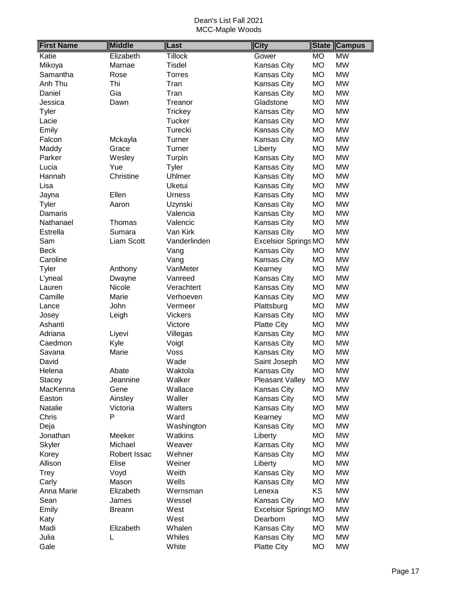| <b>First Name</b> | <b>Middle</b> | Last           | <b>City</b>                 | <b>State</b> | <b>Campus</b> |
|-------------------|---------------|----------------|-----------------------------|--------------|---------------|
| Katie             | Elizabeth     | <b>Tillock</b> | Gower                       | <b>MO</b>    | <b>MW</b>     |
| Mikoya            | Marnae        | <b>Tisdel</b>  | Kansas City                 | <b>MO</b>    | <b>MW</b>     |
| Samantha          | Rose          | <b>Torres</b>  | Kansas City                 | <b>MO</b>    | <b>MW</b>     |
| Anh Thu           | Thi           | Tran           | Kansas City                 | <b>MO</b>    | <b>MW</b>     |
| Daniel            | Gia           | Tran           | Kansas City                 | <b>MO</b>    | <b>MW</b>     |
| Jessica           | Dawn          | Treanor        | Gladstone                   | <b>MO</b>    | <b>MW</b>     |
| Tyler             |               | <b>Trickey</b> | Kansas City                 | <b>MO</b>    | <b>MW</b>     |
| Lacie             |               | <b>Tucker</b>  | Kansas City                 | <b>MO</b>    | <b>MW</b>     |
| Emily             |               | Turecki        | Kansas City                 | <b>MO</b>    | <b>MW</b>     |
| Falcon            | Mckayla       | Turner         | <b>Kansas City</b>          | <b>MO</b>    | <b>MW</b>     |
| Maddy             | Grace         | Turner         | Liberty                     | <b>MO</b>    | <b>MW</b>     |
| Parker            | Wesley        | Turpin         | Kansas City                 | <b>MO</b>    | <b>MW</b>     |
| Lucia             | Yue           | Tyler          | Kansas City                 | <b>MO</b>    | <b>MW</b>     |
| Hannah            | Christine     | Uhlmer         | Kansas City                 | <b>MO</b>    | <b>MW</b>     |
| Lisa              |               | Uketui         | Kansas City                 | <b>MO</b>    | <b>MW</b>     |
| Jayna             | Ellen         | <b>Urness</b>  | Kansas City                 | <b>MO</b>    | <b>MW</b>     |
| Tyler             | Aaron         | Uzynski        | Kansas City                 | <b>MO</b>    | <b>MW</b>     |
| Damaris           |               | Valencia       | Kansas City                 | <b>MO</b>    | <b>MW</b>     |
| Nathanael         | Thomas        | Valencic       | Kansas City                 | <b>MO</b>    | <b>MW</b>     |
| Estrella          | Sumara        | Van Kirk       | Kansas City                 | <b>MO</b>    | <b>MW</b>     |
| Sam               | Liam Scott    | Vanderlinden   | <b>Excelsior Springs MO</b> |              | <b>MW</b>     |
| <b>Beck</b>       |               | Vang           | Kansas City                 | <b>MO</b>    | <b>MW</b>     |
| Caroline          |               | Vang           | Kansas City                 | <b>MO</b>    | <b>MW</b>     |
| Tyler             | Anthony       | VanMeter       | Kearney                     | <b>MO</b>    | <b>MW</b>     |
| L'yneal           | Dwayne        | Vanreed        | Kansas City                 | <b>MO</b>    | <b>MW</b>     |
| Lauren            | Nicole        | Verachtert     | Kansas City                 | <b>MO</b>    | <b>MW</b>     |
| Camille           | Marie         | Verhoeven      | Kansas City                 | <b>MO</b>    | <b>MW</b>     |
| Lance             | John          | Vermeer        | Plattsburg                  | <b>MO</b>    | <b>MW</b>     |
| Josey             | Leigh         | <b>Vickers</b> | Kansas City                 | <b>MO</b>    | <b>MW</b>     |
| Ashanti           |               | Victore        | <b>Platte City</b>          | <b>MO</b>    | <b>MW</b>     |
| Adriana           | Liyevi        | Villegas       | Kansas City                 | <b>MO</b>    | <b>MW</b>     |
| Caedmon           | Kyle          | Voigt          | Kansas City                 | <b>MO</b>    | <b>MW</b>     |
| Savana            | Marie         | Voss           | Kansas City                 | <b>MO</b>    | <b>MW</b>     |
| David             |               | Wade           | Saint Joseph                | <b>MO</b>    | <b>MW</b>     |
| Helena            | Abate         | Waktola        | Kansas City                 | <b>MO</b>    | <b>MW</b>     |
| <b>Stacey</b>     | Jeannine      | Walker         | <b>Pleasant Valley</b>      | MO           | <b>MW</b>     |
| MacKenna          | Gene          | Wallace        | Kansas City                 | MO           | <b>MW</b>     |
| Easton            | Ainsley       | Waller         | Kansas City                 | <b>MO</b>    | <b>MW</b>     |
| Natalie           | Victoria      | Walters        | Kansas City                 | <b>MO</b>    | <b>MW</b>     |
| Chris             | P             | Ward           | Kearney                     | МO           | <b>MW</b>     |
| Deja              |               | Washington     | Kansas City                 | MO           | <b>MW</b>     |
| Jonathan          | Meeker        | Watkins        | Liberty                     | <b>MO</b>    | <b>MW</b>     |
| Skyler            | Michael       | Weaver         | Kansas City                 | MO           | <b>MW</b>     |
| Korey             | Robert Issac  | Wehner         | Kansas City                 | MO           | <b>MW</b>     |
| Allison           | Elise         | Weiner         | Liberty                     | MO           | <b>MW</b>     |
| Trey              | Voyd          | Weith          | Kansas City                 | MO           | <b>MW</b>     |
| Carly             | Mason         | Wells          | Kansas City                 | MO           | <b>MW</b>     |
| Anna Marie        | Elizabeth     | Wernsman       | Lenexa                      | <b>KS</b>    | <b>MW</b>     |
| Sean              | James         | Wessel         | Kansas City                 | <b>MO</b>    | <b>MW</b>     |
| Emily             | <b>Breann</b> | West           | <b>Excelsior Springs MO</b> |              | <b>MW</b>     |
| Katy              |               | West           | Dearborn                    | <b>MO</b>    | <b>MW</b>     |
| Madi              | Elizabeth     | Whalen         | Kansas City                 | MO           | <b>MW</b>     |
| Julia             | L             | Whiles         | Kansas City                 | <b>MO</b>    | <b>MW</b>     |
| Gale              |               | White          | <b>Platte City</b>          | <b>MO</b>    | <b>MW</b>     |